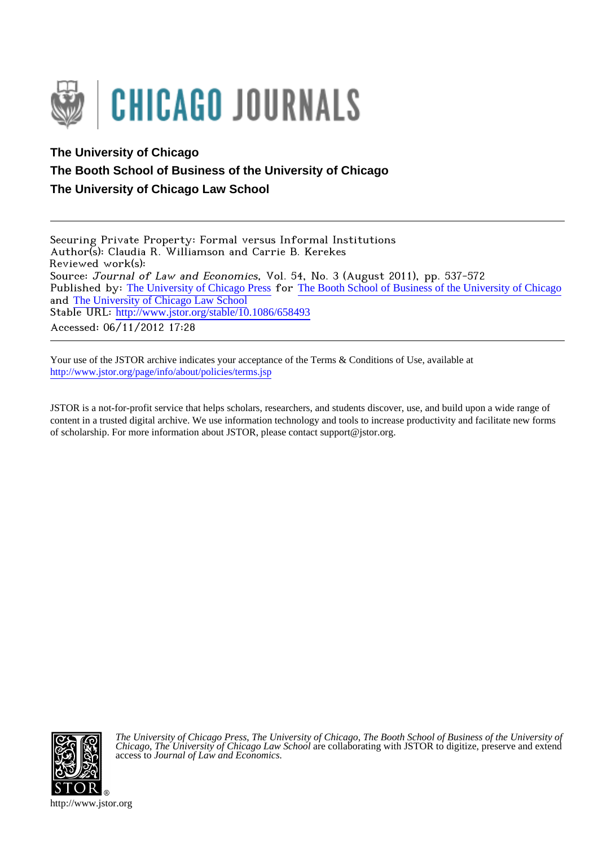

# **The University of Chicago The Booth School of Business of the University of Chicago The University of Chicago Law School**

Securing Private Property: Formal versus Informal Institutions Author(s): Claudia R. Williamson and Carrie B. Kerekes Reviewed work(s): Source: Journal of Law and Economics, Vol. 54, No. 3 (August 2011), pp. 537-572 Published by: [The University of Chicago Press](http://www.jstor.org/action/showPublisher?publisherCode=ucpress) for [The Booth School of Business of the University of Chicago](http://www.jstor.org/action/showPublisher?publisherCode=chicagobooth) and [The University of Chicago Law School](http://www.jstor.org/action/showPublisher?publisherCode=chicagolaw) Stable URL: http://www.jstor.org/stable/10.1086/658493 Accessed: 06/11/2012 17:28

Your use of the JSTOR archive indicates your acceptance of the Terms & Conditions of Use, available at <http://www.jstor.org/page/info/about/policies/terms.jsp>

JSTOR is a not-for-profit service that helps scholars, researchers, and students discover, use, and build upon a wide range of content in a trusted digital archive. We use information technology and tools to increase productivity and facilitate new forms of scholarship. For more information about JSTOR, please contact support@jstor.org.



*The University of Chicago Press*, *The University of Chicago*, *The Booth School of Business of the University of Chicago*, *The University of Chicago Law School* are collaborating with JSTOR to digitize, preserve and extend access to *Journal of Law and Economics.*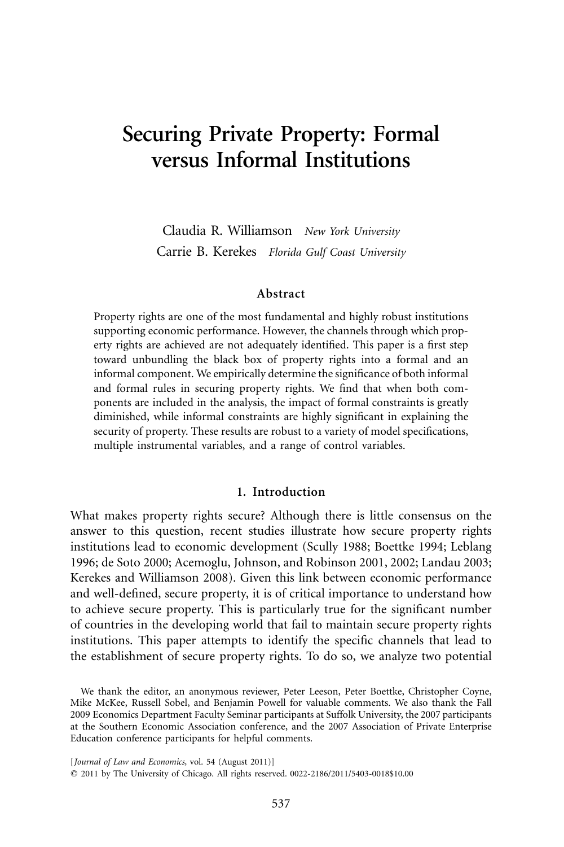# **Securing Private Property: Formal versus Informal Institutions**

Claudia R. Williamson *New York University* Carrie B. Kerekes *Florida Gulf Coast University*

#### **Abstract**

Property rights are one of the most fundamental and highly robust institutions supporting economic performance. However, the channels through which property rights are achieved are not adequately identified. This paper is a first step toward unbundling the black box of property rights into a formal and an informal component. We empirically determine the significance of both informal and formal rules in securing property rights. We find that when both components are included in the analysis, the impact of formal constraints is greatly diminished, while informal constraints are highly significant in explaining the security of property. These results are robust to a variety of model specifications, multiple instrumental variables, and a range of control variables.

# **1. Introduction**

What makes property rights secure? Although there is little consensus on the answer to this question, recent studies illustrate how secure property rights institutions lead to economic development (Scully 1988; Boettke 1994; Leblang 1996; de Soto 2000; Acemoglu, Johnson, and Robinson 2001, 2002; Landau 2003; Kerekes and Williamson 2008). Given this link between economic performance and well-defined, secure property, it is of critical importance to understand how to achieve secure property. This is particularly true for the significant number of countries in the developing world that fail to maintain secure property rights institutions. This paper attempts to identify the specific channels that lead to the establishment of secure property rights. To do so, we analyze two potential

We thank the editor, an anonymous reviewer, Peter Leeson, Peter Boettke, Christopher Coyne, Mike McKee, Russell Sobel, and Benjamin Powell for valuable comments. We also thank the Fall 2009 Economics Department Faculty Seminar participants at Suffolk University, the 2007 participants at the Southern Economic Association conference, and the 2007 Association of Private Enterprise Education conference participants for helpful comments.

[*Journal of Law and Economics, vol. 54 (August 2011)]* 

2011 by The University of Chicago. All rights reserved. 0022-2186/2011/5403-0018\$10.00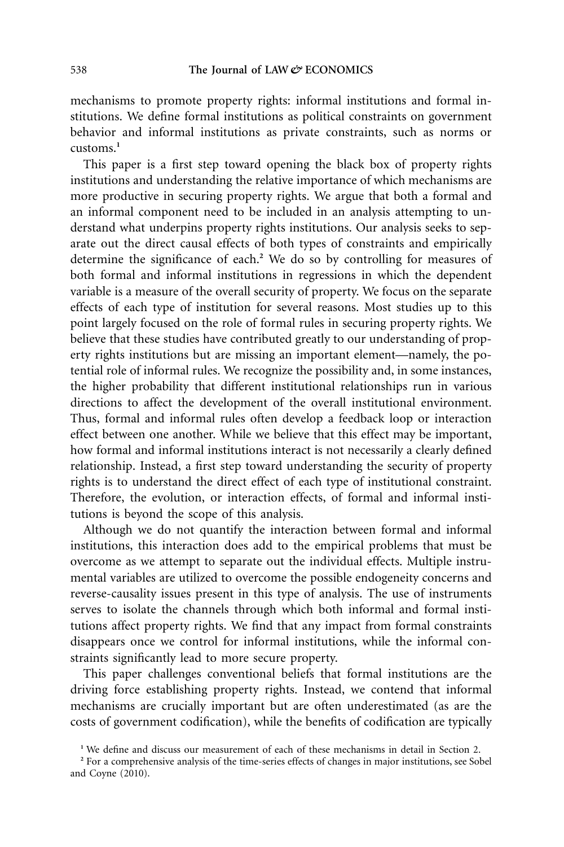mechanisms to promote property rights: informal institutions and formal institutions. We define formal institutions as political constraints on government behavior and informal institutions as private constraints, such as norms or customs.**<sup>1</sup>**

This paper is a first step toward opening the black box of property rights institutions and understanding the relative importance of which mechanisms are more productive in securing property rights. We argue that both a formal and an informal component need to be included in an analysis attempting to understand what underpins property rights institutions. Our analysis seeks to separate out the direct causal effects of both types of constraints and empirically determine the significance of each.**<sup>2</sup>** We do so by controlling for measures of both formal and informal institutions in regressions in which the dependent variable is a measure of the overall security of property. We focus on the separate effects of each type of institution for several reasons. Most studies up to this point largely focused on the role of formal rules in securing property rights. We believe that these studies have contributed greatly to our understanding of property rights institutions but are missing an important element—namely, the potential role of informal rules. We recognize the possibility and, in some instances, the higher probability that different institutional relationships run in various directions to affect the development of the overall institutional environment. Thus, formal and informal rules often develop a feedback loop or interaction effect between one another. While we believe that this effect may be important, how formal and informal institutions interact is not necessarily a clearly defined relationship. Instead, a first step toward understanding the security of property rights is to understand the direct effect of each type of institutional constraint. Therefore, the evolution, or interaction effects, of formal and informal institutions is beyond the scope of this analysis.

Although we do not quantify the interaction between formal and informal institutions, this interaction does add to the empirical problems that must be overcome as we attempt to separate out the individual effects. Multiple instrumental variables are utilized to overcome the possible endogeneity concerns and reverse-causality issues present in this type of analysis. The use of instruments serves to isolate the channels through which both informal and formal institutions affect property rights. We find that any impact from formal constraints disappears once we control for informal institutions, while the informal constraints significantly lead to more secure property.

This paper challenges conventional beliefs that formal institutions are the driving force establishing property rights. Instead, we contend that informal mechanisms are crucially important but are often underestimated (as are the costs of government codification), while the benefits of codification are typically

**<sup>1</sup>** We define and discuss our measurement of each of these mechanisms in detail in Section 2.

**<sup>2</sup>** For a comprehensive analysis of the time-series effects of changes in major institutions, see Sobel and Coyne (2010).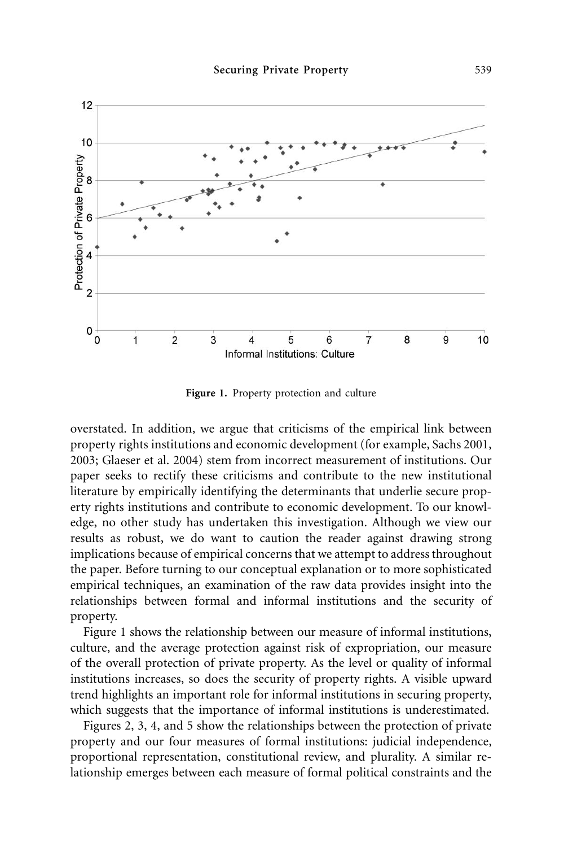

**Figure 1.** Property protection and culture

overstated. In addition, we argue that criticisms of the empirical link between property rights institutions and economic development (for example, Sachs 2001, 2003; Glaeser et al. 2004) stem from incorrect measurement of institutions. Our paper seeks to rectify these criticisms and contribute to the new institutional literature by empirically identifying the determinants that underlie secure property rights institutions and contribute to economic development. To our knowledge, no other study has undertaken this investigation. Although we view our results as robust, we do want to caution the reader against drawing strong implications because of empirical concerns that we attempt to address throughout the paper. Before turning to our conceptual explanation or to more sophisticated empirical techniques, an examination of the raw data provides insight into the relationships between formal and informal institutions and the security of property.

Figure 1 shows the relationship between our measure of informal institutions, culture, and the average protection against risk of expropriation, our measure of the overall protection of private property. As the level or quality of informal institutions increases, so does the security of property rights. A visible upward trend highlights an important role for informal institutions in securing property, which suggests that the importance of informal institutions is underestimated.

Figures 2, 3, 4, and 5 show the relationships between the protection of private property and our four measures of formal institutions: judicial independence, proportional representation, constitutional review, and plurality. A similar relationship emerges between each measure of formal political constraints and the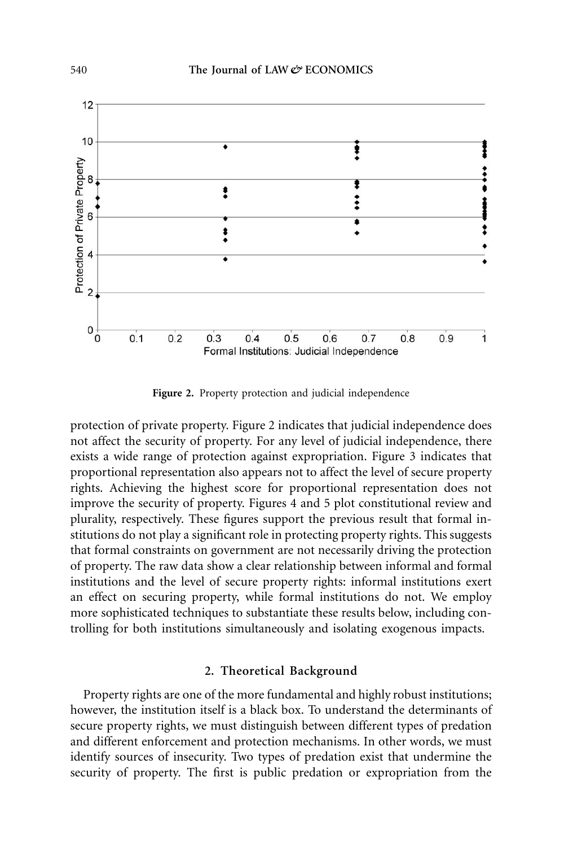

**Figure 2.** Property protection and judicial independence

protection of private property. Figure 2 indicates that judicial independence does not affect the security of property. For any level of judicial independence, there exists a wide range of protection against expropriation. Figure 3 indicates that proportional representation also appears not to affect the level of secure property rights. Achieving the highest score for proportional representation does not improve the security of property. Figures 4 and 5 plot constitutional review and plurality, respectively. These figures support the previous result that formal institutions do not play a significant role in protecting property rights. This suggests that formal constraints on government are not necessarily driving the protection of property. The raw data show a clear relationship between informal and formal institutions and the level of secure property rights: informal institutions exert an effect on securing property, while formal institutions do not. We employ more sophisticated techniques to substantiate these results below, including controlling for both institutions simultaneously and isolating exogenous impacts.

# **2. Theoretical Background**

Property rights are one of the more fundamental and highly robust institutions; however, the institution itself is a black box. To understand the determinants of secure property rights, we must distinguish between different types of predation and different enforcement and protection mechanisms. In other words, we must identify sources of insecurity. Two types of predation exist that undermine the security of property. The first is public predation or expropriation from the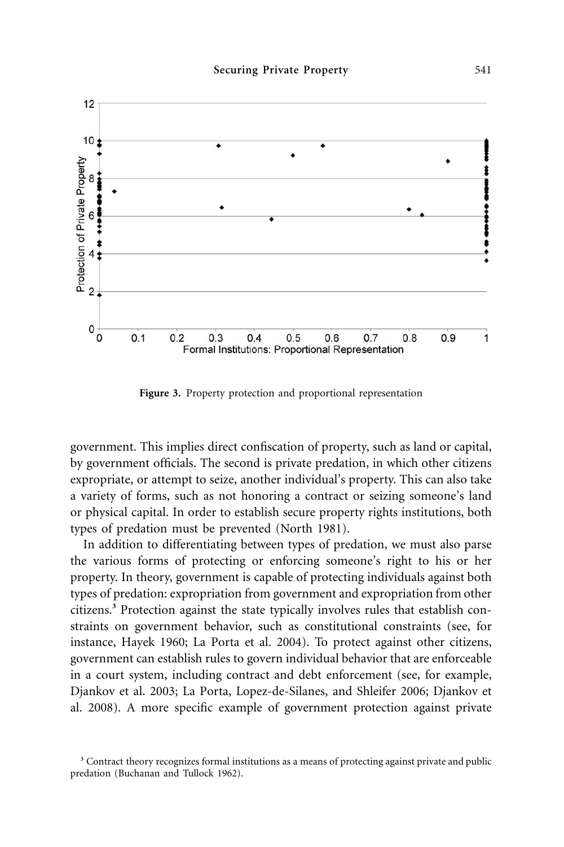

**Figure 3.** Property protection and proportional representation

government. This implies direct confiscation of property, such as land or capital, by government officials. The second is private predation, in which other citizens expropriate, or attempt to seize, another individual's property. This can also take a variety of forms, such as not honoring a contract or seizing someone's land or physical capital. In order to establish secure property rights institutions, both types of predation must be prevented (North 1981).

In addition to differentiating between types of predation, we must also parse the various forms of protecting or enforcing someone's right to his or her property. In theory, government is capable of protecting individuals against both types of predation: expropriation from government and expropriation from other citizens.**<sup>3</sup>** Protection against the state typically involves rules that establish constraints on government behavior, such as constitutional constraints (see, for instance, Hayek 1960; La Porta et al. 2004). To protect against other citizens, government can establish rules to govern individual behavior that are enforceable in a court system, including contract and debt enforcement (see, for example, Djankov et al. 2003; La Porta, Lopez-de-Silanes, and Shleifer 2006; Djankov et al. 2008). A more specific example of government protection against private

**<sup>3</sup>** Contract theory recognizes formal institutions as a means of protecting against private and public predation (Buchanan and Tullock 1962).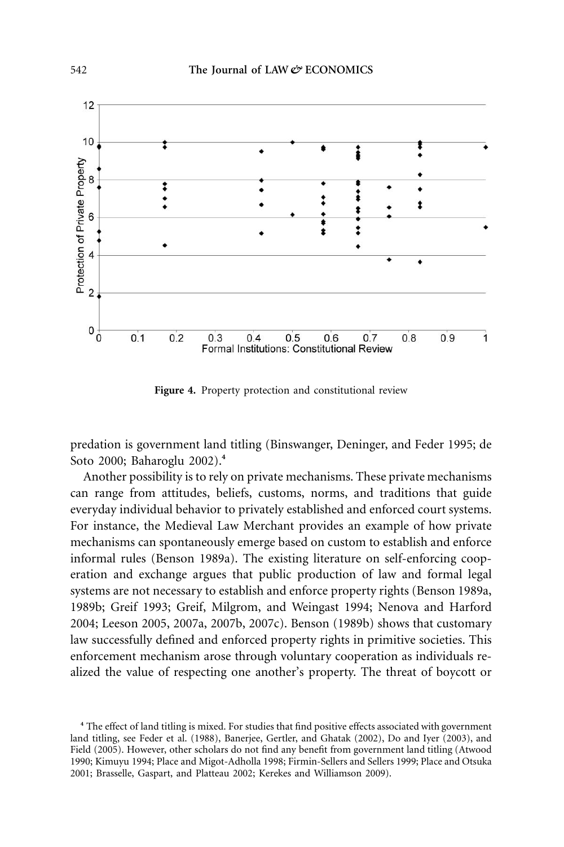

**Figure 4.** Property protection and constitutional review

predation is government land titling (Binswanger, Deninger, and Feder 1995; de Soto 2000; Baharoglu 2002).**<sup>4</sup>**

Another possibility is to rely on private mechanisms. These private mechanisms can range from attitudes, beliefs, customs, norms, and traditions that guide everyday individual behavior to privately established and enforced court systems. For instance, the Medieval Law Merchant provides an example of how private mechanisms can spontaneously emerge based on custom to establish and enforce informal rules (Benson 1989a). The existing literature on self-enforcing cooperation and exchange argues that public production of law and formal legal systems are not necessary to establish and enforce property rights (Benson 1989a, 1989b; Greif 1993; Greif, Milgrom, and Weingast 1994; Nenova and Harford 2004; Leeson 2005, 2007a, 2007b, 2007c). Benson (1989b) shows that customary law successfully defined and enforced property rights in primitive societies. This enforcement mechanism arose through voluntary cooperation as individuals realized the value of respecting one another's property. The threat of boycott or

**<sup>4</sup>** The effect of land titling is mixed. For studies that find positive effects associated with government land titling, see Feder et al. (1988), Banerjee, Gertler, and Ghatak (2002), Do and Iyer (2003), and Field (2005). However, other scholars do not find any benefit from government land titling (Atwood 1990; Kimuyu 1994; Place and Migot-Adholla 1998; Firmin-Sellers and Sellers 1999; Place and Otsuka 2001; Brasselle, Gaspart, and Platteau 2002; Kerekes and Williamson 2009).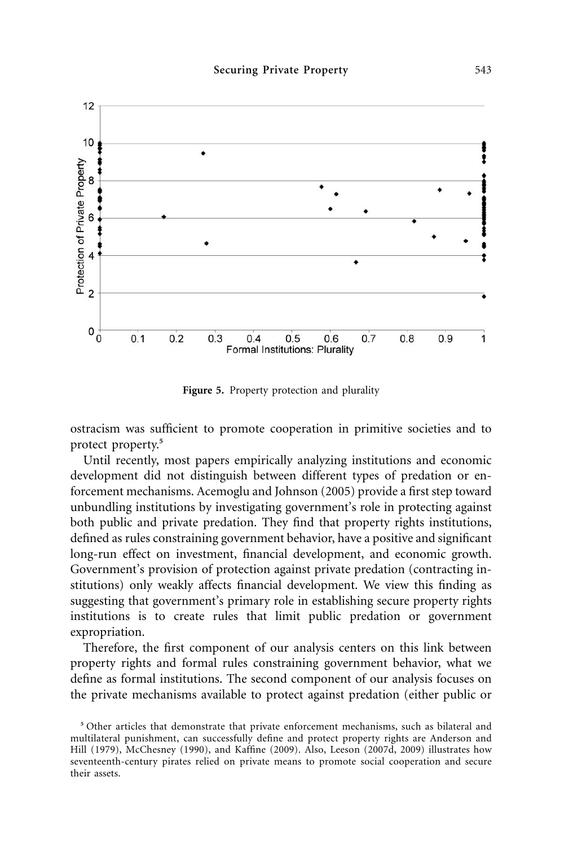

**Figure 5.** Property protection and plurality

ostracism was sufficient to promote cooperation in primitive societies and to protect property.**<sup>5</sup>**

Until recently, most papers empirically analyzing institutions and economic development did not distinguish between different types of predation or enforcement mechanisms. Acemoglu and Johnson (2005) provide a first step toward unbundling institutions by investigating government's role in protecting against both public and private predation. They find that property rights institutions, defined as rules constraining government behavior, have a positive and significant long-run effect on investment, financial development, and economic growth. Government's provision of protection against private predation (contracting institutions) only weakly affects financial development. We view this finding as suggesting that government's primary role in establishing secure property rights institutions is to create rules that limit public predation or government expropriation.

Therefore, the first component of our analysis centers on this link between property rights and formal rules constraining government behavior, what we define as formal institutions. The second component of our analysis focuses on the private mechanisms available to protect against predation (either public or

**<sup>5</sup>** Other articles that demonstrate that private enforcement mechanisms, such as bilateral and multilateral punishment, can successfully define and protect property rights are Anderson and Hill (1979), McChesney (1990), and Kaffine (2009). Also, Leeson (2007d, 2009) illustrates how seventeenth-century pirates relied on private means to promote social cooperation and secure their assets.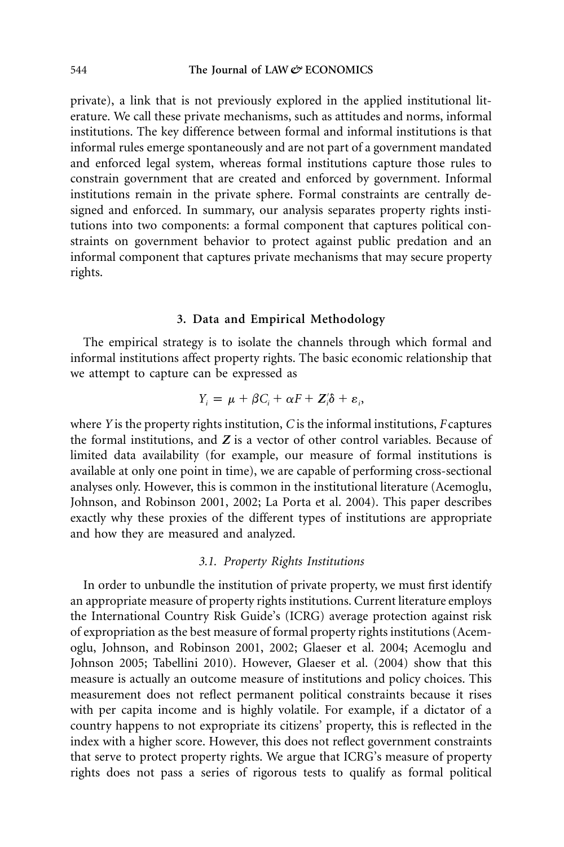private), a link that is not previously explored in the applied institutional literature. We call these private mechanisms, such as attitudes and norms, informal institutions. The key difference between formal and informal institutions is that informal rules emerge spontaneously and are not part of a government mandated and enforced legal system, whereas formal institutions capture those rules to constrain government that are created and enforced by government. Informal institutions remain in the private sphere. Formal constraints are centrally designed and enforced. In summary, our analysis separates property rights institutions into two components: a formal component that captures political constraints on government behavior to protect against public predation and an informal component that captures private mechanisms that may secure property rights.

#### **3. Data and Empirical Methodology**

The empirical strategy is to isolate the channels through which formal and informal institutions affect property rights. The basic economic relationship that we attempt to capture can be expressed as

$$
Y_i = \mu + \beta C_i + \alpha F + Z_i^{\prime} \delta + \varepsilon_i,
$$

where *Y* is the property rights institution, *C* is the informal institutions, *F* captures the formal institutions, and *Z* is a vector of other control variables. Because of limited data availability (for example, our measure of formal institutions is available at only one point in time), we are capable of performing cross-sectional analyses only. However, this is common in the institutional literature (Acemoglu, Johnson, and Robinson 2001, 2002; La Porta et al. 2004). This paper describes exactly why these proxies of the different types of institutions are appropriate and how they are measured and analyzed.

#### *3.1. Property Rights Institutions*

In order to unbundle the institution of private property, we must first identify an appropriate measure of property rights institutions. Current literature employs the International Country Risk Guide's (ICRG) average protection against risk of expropriation as the best measure of formal property rights institutions (Acemoglu, Johnson, and Robinson 2001, 2002; Glaeser et al. 2004; Acemoglu and Johnson 2005; Tabellini 2010). However, Glaeser et al. (2004) show that this measure is actually an outcome measure of institutions and policy choices. This measurement does not reflect permanent political constraints because it rises with per capita income and is highly volatile. For example, if a dictator of a country happens to not expropriate its citizens' property, this is reflected in the index with a higher score. However, this does not reflect government constraints that serve to protect property rights. We argue that ICRG's measure of property rights does not pass a series of rigorous tests to qualify as formal political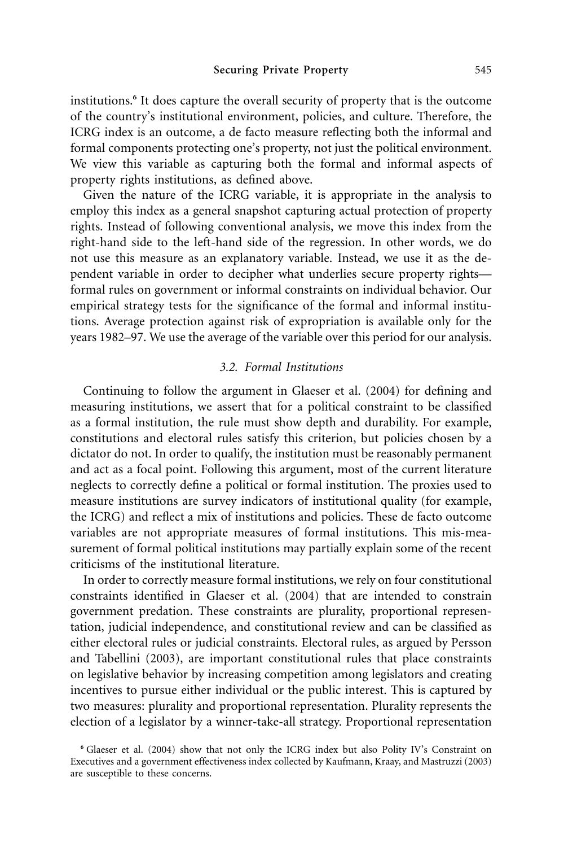institutions.**<sup>6</sup>** It does capture the overall security of property that is the outcome of the country's institutional environment, policies, and culture. Therefore, the ICRG index is an outcome, a de facto measure reflecting both the informal and formal components protecting one's property, not just the political environment. We view this variable as capturing both the formal and informal aspects of property rights institutions, as defined above.

Given the nature of the ICRG variable, it is appropriate in the analysis to employ this index as a general snapshot capturing actual protection of property rights. Instead of following conventional analysis, we move this index from the right-hand side to the left-hand side of the regression. In other words, we do not use this measure as an explanatory variable. Instead, we use it as the dependent variable in order to decipher what underlies secure property rights formal rules on government or informal constraints on individual behavior. Our empirical strategy tests for the significance of the formal and informal institutions. Average protection against risk of expropriation is available only for the years 1982–97. We use the average of the variable over this period for our analysis.

### *3.2. Formal Institutions*

Continuing to follow the argument in Glaeser et al. (2004) for defining and measuring institutions, we assert that for a political constraint to be classified as a formal institution, the rule must show depth and durability. For example, constitutions and electoral rules satisfy this criterion, but policies chosen by a dictator do not. In order to qualify, the institution must be reasonably permanent and act as a focal point. Following this argument, most of the current literature neglects to correctly define a political or formal institution. The proxies used to measure institutions are survey indicators of institutional quality (for example, the ICRG) and reflect a mix of institutions and policies. These de facto outcome variables are not appropriate measures of formal institutions. This mis-measurement of formal political institutions may partially explain some of the recent criticisms of the institutional literature.

In order to correctly measure formal institutions, we rely on four constitutional constraints identified in Glaeser et al. (2004) that are intended to constrain government predation. These constraints are plurality, proportional representation, judicial independence, and constitutional review and can be classified as either electoral rules or judicial constraints. Electoral rules, as argued by Persson and Tabellini (2003), are important constitutional rules that place constraints on legislative behavior by increasing competition among legislators and creating incentives to pursue either individual or the public interest. This is captured by two measures: plurality and proportional representation. Plurality represents the election of a legislator by a winner-take-all strategy. Proportional representation

**<sup>6</sup>** Glaeser et al. (2004) show that not only the ICRG index but also Polity IV's Constraint on Executives and a government effectiveness index collected by Kaufmann, Kraay, and Mastruzzi (2003) are susceptible to these concerns.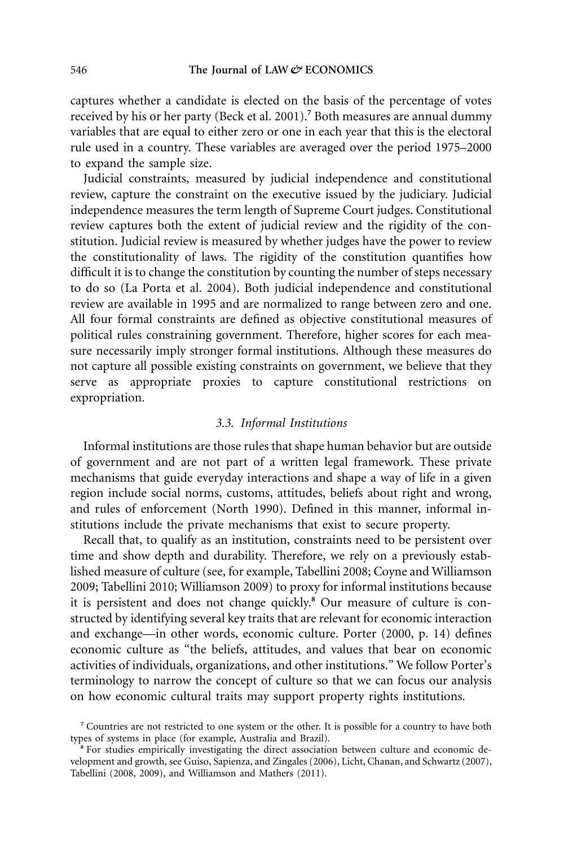captures whether a candidate is elected on the basis of the percentage of votes received by his or her party (Beck et al. 2001).**<sup>7</sup>** Both measures are annual dummy variables that are equal to either zero or one in each year that this is the electoral rule used in a country. These variables are averaged over the period 1975–2000 to expand the sample size.

Judicial constraints, measured by judicial independence and constitutional review, capture the constraint on the executive issued by the judiciary. Judicial independence measures the term length of Supreme Court judges. Constitutional review captures both the extent of judicial review and the rigidity of the constitution. Judicial review is measured by whether judges have the power to review the constitutionality of laws. The rigidity of the constitution quantifies how difficult it is to change the constitution by counting the number of steps necessary to do so (La Porta et al. 2004). Both judicial independence and constitutional review are available in 1995 and are normalized to range between zero and one. All four formal constraints are defined as objective constitutional measures of political rules constraining government. Therefore, higher scores for each measure necessarily imply stronger formal institutions. Although these measures do not capture all possible existing constraints on government, we believe that they serve as appropriate proxies to capture constitutional restrictions on expropriation.

#### *3.3. Informal Institutions*

Informal institutions are those rules that shape human behavior but are outside of government and are not part of a written legal framework. These private mechanisms that guide everyday interactions and shape a way of life in a given region include social norms, customs, attitudes, beliefs about right and wrong, and rules of enforcement (North 1990). Defined in this manner, informal institutions include the private mechanisms that exist to secure property.

Recall that, to qualify as an institution, constraints need to be persistent over time and show depth and durability. Therefore, we rely on a previously established measure of culture (see, for example, Tabellini 2008; Coyne and Williamson 2009; Tabellini 2010; Williamson 2009) to proxy for informal institutions because it is persistent and does not change quickly.**<sup>8</sup>** Our measure of culture is constructed by identifying several key traits that are relevant for economic interaction and exchange—in other words, economic culture. Porter (2000, p. 14) defines economic culture as "the beliefs, attitudes, and values that bear on economic activities of individuals, organizations, and other institutions." We follow Porter's terminology to narrow the concept of culture so that we can focus our analysis on how economic cultural traits may support property rights institutions.

**<sup>7</sup>** Countries are not restricted to one system or the other. It is possible for a country to have both types of systems in place (for example, Australia and Brazil).

<sup>&</sup>lt;sup>8</sup> For studies empirically investigating the direct association between culture and economic development and growth, see Guiso, Sapienza, and Zingales (2006), Licht, Chanan, and Schwartz (2007), Tabellini (2008, 2009), and Williamson and Mathers (2011).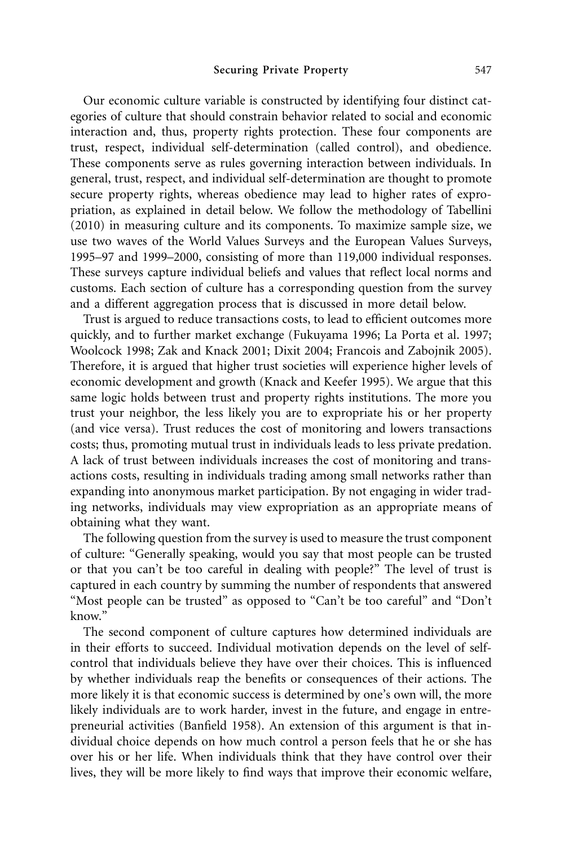Our economic culture variable is constructed by identifying four distinct categories of culture that should constrain behavior related to social and economic interaction and, thus, property rights protection. These four components are trust, respect, individual self-determination (called control), and obedience. These components serve as rules governing interaction between individuals. In general, trust, respect, and individual self-determination are thought to promote secure property rights, whereas obedience may lead to higher rates of expropriation, as explained in detail below. We follow the methodology of Tabellini (2010) in measuring culture and its components. To maximize sample size, we use two waves of the World Values Surveys and the European Values Surveys, 1995–97 and 1999–2000, consisting of more than 119,000 individual responses. These surveys capture individual beliefs and values that reflect local norms and customs. Each section of culture has a corresponding question from the survey and a different aggregation process that is discussed in more detail below.

Trust is argued to reduce transactions costs, to lead to efficient outcomes more quickly, and to further market exchange (Fukuyama 1996; La Porta et al. 1997; Woolcock 1998; Zak and Knack 2001; Dixit 2004; Francois and Zabojnik 2005). Therefore, it is argued that higher trust societies will experience higher levels of economic development and growth (Knack and Keefer 1995). We argue that this same logic holds between trust and property rights institutions. The more you trust your neighbor, the less likely you are to expropriate his or her property (and vice versa). Trust reduces the cost of monitoring and lowers transactions costs; thus, promoting mutual trust in individuals leads to less private predation. A lack of trust between individuals increases the cost of monitoring and transactions costs, resulting in individuals trading among small networks rather than expanding into anonymous market participation. By not engaging in wider trading networks, individuals may view expropriation as an appropriate means of obtaining what they want.

The following question from the survey is used to measure the trust component of culture: "Generally speaking, would you say that most people can be trusted or that you can't be too careful in dealing with people?" The level of trust is captured in each country by summing the number of respondents that answered "Most people can be trusted" as opposed to "Can't be too careful" and "Don't know."

The second component of culture captures how determined individuals are in their efforts to succeed. Individual motivation depends on the level of selfcontrol that individuals believe they have over their choices. This is influenced by whether individuals reap the benefits or consequences of their actions. The more likely it is that economic success is determined by one's own will, the more likely individuals are to work harder, invest in the future, and engage in entrepreneurial activities (Banfield 1958). An extension of this argument is that individual choice depends on how much control a person feels that he or she has over his or her life. When individuals think that they have control over their lives, they will be more likely to find ways that improve their economic welfare,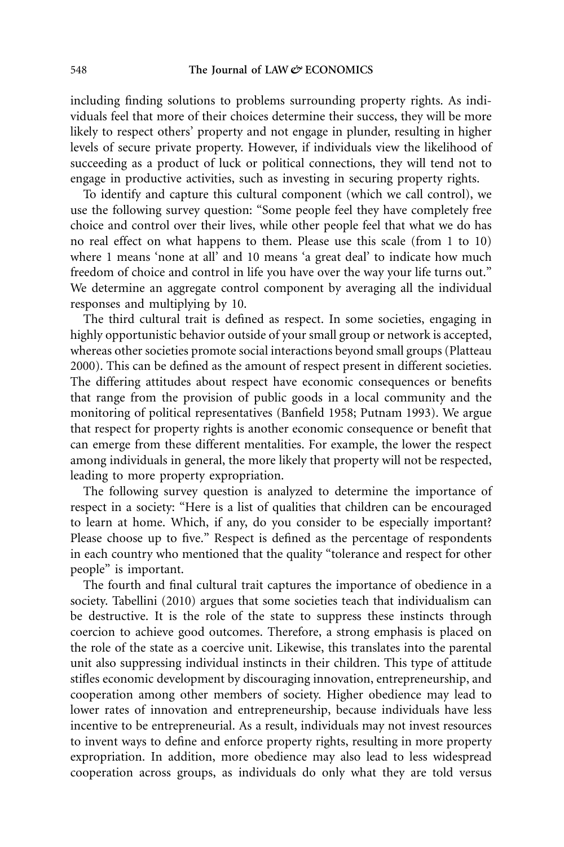including finding solutions to problems surrounding property rights. As individuals feel that more of their choices determine their success, they will be more likely to respect others' property and not engage in plunder, resulting in higher levels of secure private property. However, if individuals view the likelihood of succeeding as a product of luck or political connections, they will tend not to engage in productive activities, such as investing in securing property rights.

To identify and capture this cultural component (which we call control), we use the following survey question: "Some people feel they have completely free choice and control over their lives, while other people feel that what we do has no real effect on what happens to them. Please use this scale (from 1 to 10) where 1 means 'none at all' and 10 means 'a great deal' to indicate how much freedom of choice and control in life you have over the way your life turns out." We determine an aggregate control component by averaging all the individual responses and multiplying by 10.

The third cultural trait is defined as respect. In some societies, engaging in highly opportunistic behavior outside of your small group or network is accepted, whereas other societies promote social interactions beyond small groups (Platteau 2000). This can be defined as the amount of respect present in different societies. The differing attitudes about respect have economic consequences or benefits that range from the provision of public goods in a local community and the monitoring of political representatives (Banfield 1958; Putnam 1993). We argue that respect for property rights is another economic consequence or benefit that can emerge from these different mentalities. For example, the lower the respect among individuals in general, the more likely that property will not be respected, leading to more property expropriation.

The following survey question is analyzed to determine the importance of respect in a society: "Here is a list of qualities that children can be encouraged to learn at home. Which, if any, do you consider to be especially important? Please choose up to five." Respect is defined as the percentage of respondents in each country who mentioned that the quality "tolerance and respect for other people" is important.

The fourth and final cultural trait captures the importance of obedience in a society. Tabellini (2010) argues that some societies teach that individualism can be destructive. It is the role of the state to suppress these instincts through coercion to achieve good outcomes. Therefore, a strong emphasis is placed on the role of the state as a coercive unit. Likewise, this translates into the parental unit also suppressing individual instincts in their children. This type of attitude stifles economic development by discouraging innovation, entrepreneurship, and cooperation among other members of society. Higher obedience may lead to lower rates of innovation and entrepreneurship, because individuals have less incentive to be entrepreneurial. As a result, individuals may not invest resources to invent ways to define and enforce property rights, resulting in more property expropriation. In addition, more obedience may also lead to less widespread cooperation across groups, as individuals do only what they are told versus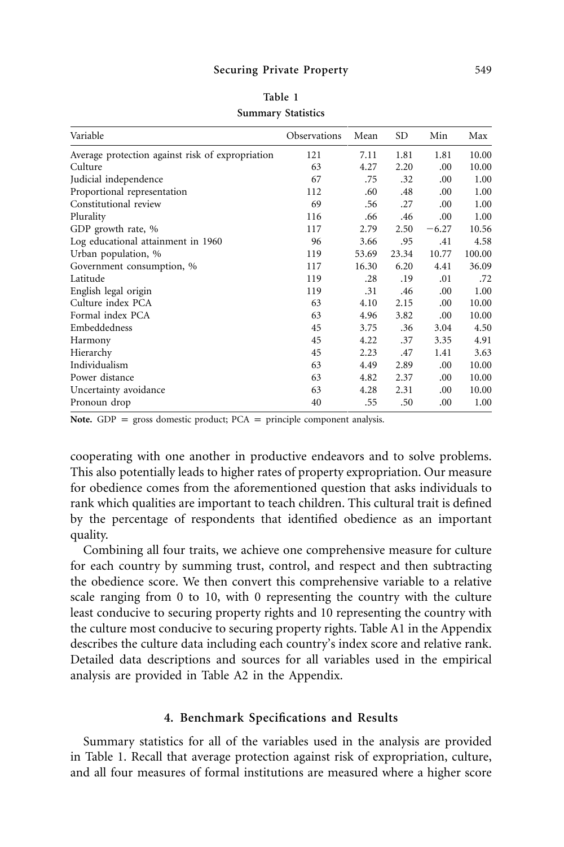| Variable                                         | Observations | Mean  | SD    | Min     | Max    |
|--------------------------------------------------|--------------|-------|-------|---------|--------|
| Average protection against risk of expropriation | 121          | 7.11  | 1.81  | 1.81    | 10.00  |
| Culture                                          | 63           | 4.27  | 2.20  | .00     | 10.00  |
| Judicial independence                            | 67           | .75   | .32   | .00.    | 1.00   |
| Proportional representation                      | 112          | .60   | .48   | .00.    | 1.00   |
| Constitutional review                            | 69           | .56   | .27   | .00     | 1.00   |
| Plurality                                        | 116          | .66   | .46   | .00     | 1.00   |
| GDP growth rate, %                               | 117          | 2.79  | 2.50  | $-6.27$ | 10.56  |
| Log educational attainment in 1960               | 96           | 3.66  | .95   | .41     | 4.58   |
| Urban population, %                              | 119          | 53.69 | 23.34 | 10.77   | 100.00 |
| Government consumption, %                        | 117          | 16.30 | 6.20  | 4.41    | 36.09  |
| Latitude                                         | 119          | .28   | .19   | .01     | .72    |
| English legal origin                             | 119          | .31   | .46   | .00.    | 1.00   |
| Culture index PCA                                | 63           | 4.10  | 2.15  | .00.    | 10.00  |
| Formal index PCA                                 | 63           | 4.96  | 3.82  | 00.     | 10.00  |
| Embeddedness                                     | 45           | 3.75  | .36   | 3.04    | 4.50   |
| Harmony                                          | 45           | 4.22  | .37   | 3.35    | 4.91   |
| Hierarchy                                        | 45           | 2.23  | .47   | 1.41    | 3.63   |
| Individualism                                    | 63           | 4.49  | 2.89  | .00.    | 10.00  |
| Power distance                                   | 63           | 4.82  | 2.37  | 00.     | 10.00  |
| Uncertainty avoidance                            | 63           | 4.28  | 2.31  | .00     | 10.00  |
| Pronoun drop                                     | 40           | .55   | .50   | .00     | 1.00   |

**Table 1 Summary Statistics**

**Note.** GDP = gross domestic product;  $PCA$  = principle component analysis.

cooperating with one another in productive endeavors and to solve problems. This also potentially leads to higher rates of property expropriation. Our measure for obedience comes from the aforementioned question that asks individuals to rank which qualities are important to teach children. This cultural trait is defined by the percentage of respondents that identified obedience as an important quality.

Combining all four traits, we achieve one comprehensive measure for culture for each country by summing trust, control, and respect and then subtracting the obedience score. We then convert this comprehensive variable to a relative scale ranging from 0 to 10, with 0 representing the country with the culture least conducive to securing property rights and 10 representing the country with the culture most conducive to securing property rights. Table A1 in the Appendix describes the culture data including each country's index score and relative rank. Detailed data descriptions and sources for all variables used in the empirical analysis are provided in Table A2 in the Appendix.

### **4. Benchmark Specifications and Results**

Summary statistics for all of the variables used in the analysis are provided in Table 1. Recall that average protection against risk of expropriation, culture, and all four measures of formal institutions are measured where a higher score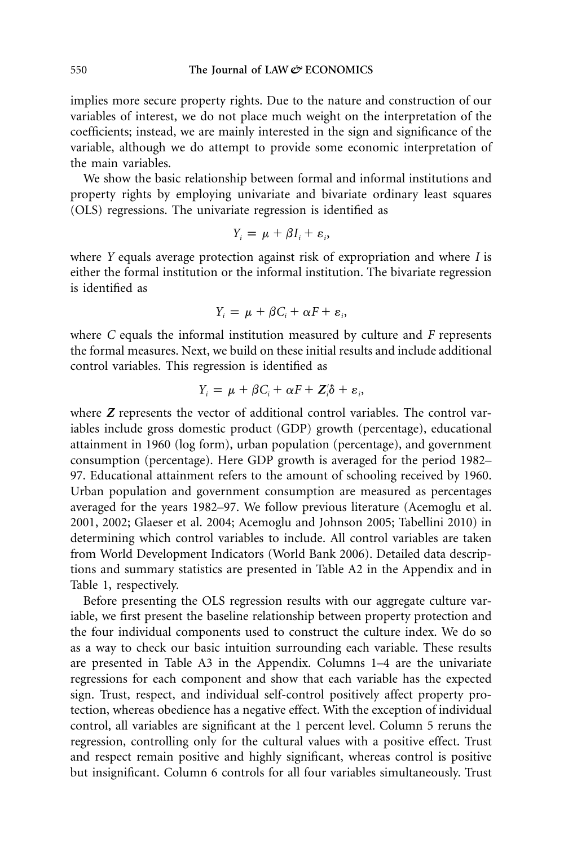implies more secure property rights. Due to the nature and construction of our variables of interest, we do not place much weight on the interpretation of the coefficients; instead, we are mainly interested in the sign and significance of the variable, although we do attempt to provide some economic interpretation of the main variables.

We show the basic relationship between formal and informal institutions and property rights by employing univariate and bivariate ordinary least squares (OLS) regressions. The univariate regression is identified as

$$
Y_i = \mu + \beta I_i + \varepsilon_i,
$$

where *Y* equals average protection against risk of expropriation and where *I* is either the formal institution or the informal institution. The bivariate regression is identified as

$$
Y_i = \mu + \beta C_i + \alpha F + \varepsilon_i,
$$

where *C* equals the informal institution measured by culture and *F* represents the formal measures. Next, we build on these initial results and include additional control variables. This regression is identified as

$$
Y_i = \mu + \beta C_i + \alpha F + Z_i' \delta + \varepsilon_i,
$$

where *Z* represents the vector of additional control variables. The control variables include gross domestic product (GDP) growth (percentage), educational attainment in 1960 (log form), urban population (percentage), and government consumption (percentage). Here GDP growth is averaged for the period 1982– 97. Educational attainment refers to the amount of schooling received by 1960. Urban population and government consumption are measured as percentages averaged for the years 1982–97. We follow previous literature (Acemoglu et al. 2001, 2002; Glaeser et al. 2004; Acemoglu and Johnson 2005; Tabellini 2010) in determining which control variables to include. All control variables are taken from World Development Indicators (World Bank 2006). Detailed data descriptions and summary statistics are presented in Table A2 in the Appendix and in Table 1, respectively.

Before presenting the OLS regression results with our aggregate culture variable, we first present the baseline relationship between property protection and the four individual components used to construct the culture index. We do so as a way to check our basic intuition surrounding each variable. These results are presented in Table A3 in the Appendix. Columns 1–4 are the univariate regressions for each component and show that each variable has the expected sign. Trust, respect, and individual self-control positively affect property protection, whereas obedience has a negative effect. With the exception of individual control, all variables are significant at the 1 percent level. Column 5 reruns the regression, controlling only for the cultural values with a positive effect. Trust and respect remain positive and highly significant, whereas control is positive but insignificant. Column 6 controls for all four variables simultaneously. Trust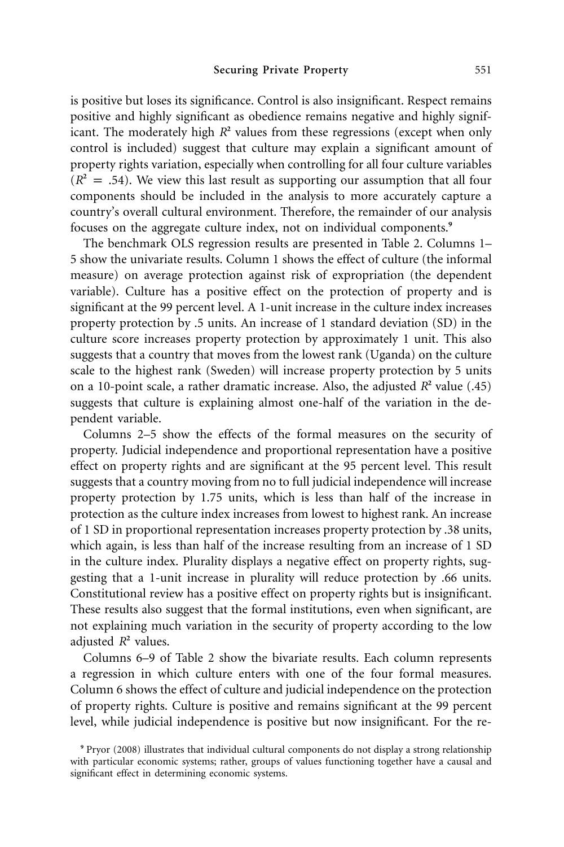is positive but loses its significance. Control is also insignificant. Respect remains positive and highly significant as obedience remains negative and highly significant. The moderately high  $R^2$  values from these regressions (except when only control is included) suggest that culture may explain a significant amount of property rights variation, especially when controlling for all four culture variables  $(R<sup>2</sup> = .54)$ . We view this last result as supporting our assumption that all four components should be included in the analysis to more accurately capture a country's overall cultural environment. Therefore, the remainder of our analysis focuses on the aggregate culture index, not on individual components.**<sup>9</sup>**

The benchmark OLS regression results are presented in Table 2. Columns 1– 5 show the univariate results. Column 1 shows the effect of culture (the informal measure) on average protection against risk of expropriation (the dependent variable). Culture has a positive effect on the protection of property and is significant at the 99 percent level. A 1-unit increase in the culture index increases property protection by .5 units. An increase of 1 standard deviation (SD) in the culture score increases property protection by approximately 1 unit. This also suggests that a country that moves from the lowest rank (Uganda) on the culture scale to the highest rank (Sweden) will increase property protection by 5 units on a 10-point scale, a rather dramatic increase. Also, the adjusted  $R^2$  value (.45) suggests that culture is explaining almost one-half of the variation in the dependent variable.

Columns 2–5 show the effects of the formal measures on the security of property. Judicial independence and proportional representation have a positive effect on property rights and are significant at the 95 percent level. This result suggests that a country moving from no to full judicial independence will increase property protection by 1.75 units, which is less than half of the increase in protection as the culture index increases from lowest to highest rank. An increase of 1 SD in proportional representation increases property protection by .38 units, which again, is less than half of the increase resulting from an increase of 1 SD in the culture index. Plurality displays a negative effect on property rights, suggesting that a 1-unit increase in plurality will reduce protection by .66 units. Constitutional review has a positive effect on property rights but is insignificant. These results also suggest that the formal institutions, even when significant, are not explaining much variation in the security of property according to the low adjusted  $R^2$  values.

Columns 6–9 of Table 2 show the bivariate results. Each column represents a regression in which culture enters with one of the four formal measures. Column 6 shows the effect of culture and judicial independence on the protection of property rights. Culture is positive and remains significant at the 99 percent level, while judicial independence is positive but now insignificant. For the re-

**<sup>9</sup>** Pryor (2008) illustrates that individual cultural components do not display a strong relationship with particular economic systems; rather, groups of values functioning together have a causal and significant effect in determining economic systems.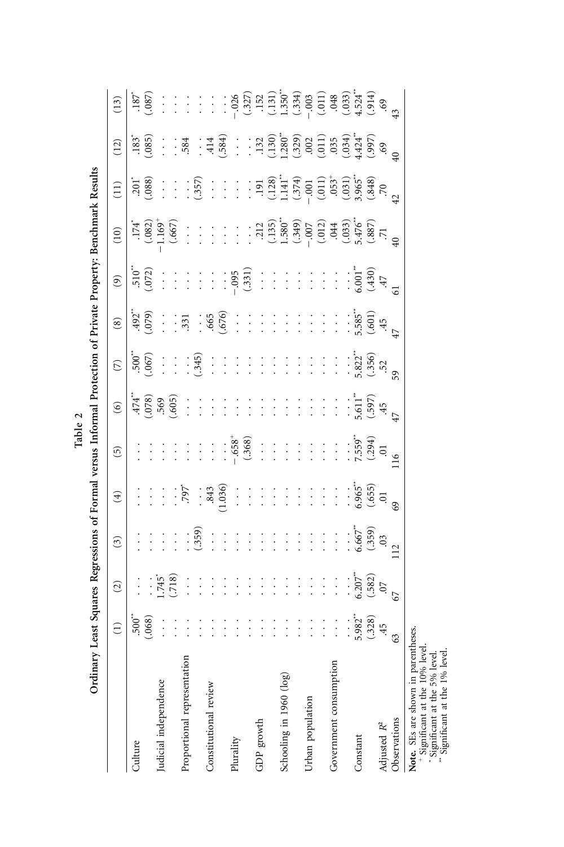|                             |                 |                | Othian y reast of their second versions of Londa and the context of the context of the context of the context of the context of the context of the context of the context of the context of the context of the context of the |                     |                 |                        |                                             |                                                   |                |                                                                           |                                                                         |                |                                                                                                                                                                                                                                                                                                                |
|-----------------------------|-----------------|----------------|-------------------------------------------------------------------------------------------------------------------------------------------------------------------------------------------------------------------------------|---------------------|-----------------|------------------------|---------------------------------------------|---------------------------------------------------|----------------|---------------------------------------------------------------------------|-------------------------------------------------------------------------|----------------|----------------------------------------------------------------------------------------------------------------------------------------------------------------------------------------------------------------------------------------------------------------------------------------------------------------|
|                             | $\widehat{\Xi}$ | $\widehat{c}$  | $\binom{3}{2}$                                                                                                                                                                                                                | $\widehat{E}$       | $\widehat{5}$   | $\widehat{\mathbf{e}}$ | $\widehat{\mathcal{L}}$                     | $\circ$                                           | $\circledcirc$ | (10)                                                                      | $\left(11\right)$                                                       | (12)           | (13)                                                                                                                                                                                                                                                                                                           |
| Culture                     | $500^{**}$      | $\vdots$       |                                                                                                                                                                                                                               |                     |                 | .474                   | $.500^{**}$                                 | $.492$ <sup>**</sup>                              | $510^{40}$     | $.174$ <sup>*</sup>                                                       | $201$ <sup>*</sup>                                                      | $.183*$        | .187                                                                                                                                                                                                                                                                                                           |
|                             | (.068)          | $\vdots$       | $\vdots$                                                                                                                                                                                                                      | $\vdots$            | $\vdots$        | (.078)                 | (.067)                                      | (0.079)                                           | (.072)         | (.082)                                                                    | (.088)                                                                  | (.085)         | (.087)                                                                                                                                                                                                                                                                                                         |
| Judicial independence       | $\vdots$        | <b>1.745</b> * | $\vdots$                                                                                                                                                                                                                      | $\vdots$            | $\vdots$        | 569                    | $\ddot{\cdot}$                              | $\vdots$                                          | $\ddot{\cdot}$ | $1.169^{+}$                                                               | $\frac{1}{2}$                                                           | $\frac{1}{1}$  | $\ddot{\cdot}$                                                                                                                                                                                                                                                                                                 |
|                             | $\ddot{\cdot}$  | (.718)         |                                                                                                                                                                                                                               | $\vdots$            | $\vdots$        | (.605)                 | $\vdots$                                    | $\ddot{\cdot}$                                    | $\vdots$       | (.667)                                                                    | $\vdots$                                                                | $\ddot{\cdot}$ | $\ddot{\cdot}$                                                                                                                                                                                                                                                                                                 |
| Proportional representation | $\vdots$        | $\vdots$       | $\vdots$                                                                                                                                                                                                                      | $.797$ <sup>*</sup> | $\vdots$        | $\vdots$               | $\vdots$                                    | .331                                              | $\vdots$       | $\vdots$                                                                  | $\vdots$                                                                | .584           | $\vdots$                                                                                                                                                                                                                                                                                                       |
|                             | $\vdots$        | $\vdots$       | (.359)                                                                                                                                                                                                                        | $\vdots$            | $\vdots$        | $\vdots$               | (.345)                                      | $\vdots$                                          | $\vdots$       | $\vdots$                                                                  | (.357)                                                                  | $\vdots$       | $\ddot{\cdot}$                                                                                                                                                                                                                                                                                                 |
| Constitutional review       | $\vdots$        | $\vdots$       | $\ddot{\cdot}$                                                                                                                                                                                                                | .843                | $\frac{1}{2}$   | $\vdots$               | $\ddot{\cdot}$                              | .665                                              | $\vdots$       | $\frac{1}{2}$                                                             | $\vdots$                                                                | 414            | $\frac{1}{2}$                                                                                                                                                                                                                                                                                                  |
|                             | $\vdots$        | $\vdots$       | $\ddot{\cdot}$                                                                                                                                                                                                                | (1.036)             | $\vdots$        | $\vdots$               | $\vdots$                                    | (.676)                                            | $\vdots$       | $\frac{1}{2}$                                                             | $\vdots$                                                                | (.584)         | $\vdots$                                                                                                                                                                                                                                                                                                       |
| Plurality                   | $\vdots$        | $\vdots$       | $\vdots$                                                                                                                                                                                                                      | $\vdots$            |                 | $\vdots$               | $\vdots$                                    | $\vdots$                                          | $-0.095$       | $\vdots$                                                                  | $\frac{1}{2}$                                                           | $\vdots$       | $-.026$                                                                                                                                                                                                                                                                                                        |
|                             | $\frac{1}{2}$   | $\vdots$       | $\vdots$                                                                                                                                                                                                                      | $\vdots$            | $-0.58^{+0.76}$ | $\vdots$               | $\vdots$                                    | $\vdots$                                          | (.331)         | $\vdots$                                                                  |                                                                         | $\vdots$       |                                                                                                                                                                                                                                                                                                                |
| GDP growth                  | $\vdots$        | $\vdots$       | $\vdots$                                                                                                                                                                                                                      | $\vdots$            | $\vdots$        | $\frac{1}{2}$          | $\vdots$                                    | $\vdots$                                          | $\vdots$       |                                                                           | $\frac{1}{2}$                                                           |                |                                                                                                                                                                                                                                                                                                                |
|                             | $\vdots$        | $\vdots$       | $\vdots$                                                                                                                                                                                                                      | $\vdots$            | $\ddot{\cdot}$  | $\frac{1}{1}$          | $\ddot{\cdot}$                              | $\vdots$                                          | $\vdots$       | $\begin{array}{c} .212 \\ .135 \\ 1.580 \\ .349 \\ \end{array}$           | $\frac{(.128)}{1.141}$                                                  |                | $\begin{array}{l} (327)\\ (321)\\ (131)\\ (131)\\ (334)\\ (334)\\ (342)\\ (354)\\ (354)\\ (354)\\ (354)\\ (354)\\ (354)\\ (354)\\ (354)\\ (354)\\ (354)\\ (354)\\ (354)\\ (354)\\ (354)\\ (354)\\ (354)\\ (354)\\ (354)\\ (354)\\ (354)\\ (354)\\ (354)\\ (354)\\ (354)\\ (354)\\ (354)\\ (354)\\ (354)\\ (35$ |
| Schooling in 1960 (log)     | $\vdots$        | $\vdots$       | $\vdots$                                                                                                                                                                                                                      | $\vdots$            | $\vdots$        | $\vdots$               | $\vdots$                                    | $\vdots$                                          | $\vdots$       |                                                                           |                                                                         |                |                                                                                                                                                                                                                                                                                                                |
|                             | $\vdots$        | $\vdots$       | $\vdots$                                                                                                                                                                                                                      | $\vdots$            | $\vdots$        | $\vdots$               | $\vdots$                                    | $\frac{1}{1}$                                     | $\vdots$       |                                                                           |                                                                         |                |                                                                                                                                                                                                                                                                                                                |
| Urban population            | $\frac{1}{1}$   | $\vdots$       | $\vdots$                                                                                                                                                                                                                      | $\vdots$            | $\vdots$        | $\vdots$               | $\vdots$                                    |                                                   | $\vdots$       |                                                                           | $(-374)$<br>- .001                                                      |                |                                                                                                                                                                                                                                                                                                                |
|                             | $\vdots$        | $\vdots$       | $\vdots$                                                                                                                                                                                                                      | $\vdots$            | $\ddot{\cdot}$  | $\ddot{\cdot}$         | $\vdots$                                    | $\vdots$                                          | $\ddot{\cdot}$ | $(012)$<br>$044$                                                          |                                                                         |                |                                                                                                                                                                                                                                                                                                                |
| Government consumption      | $\vdots$        | $\vdots$       | $\vdots$                                                                                                                                                                                                                      | $\vdots$            | $\vdots$        | $\vdots$               | $\vdots$                                    | $\vdots$                                          | $\vdots$       |                                                                           |                                                                         |                |                                                                                                                                                                                                                                                                                                                |
|                             | $\vdots$        | $\vdots$       | $\vdots$                                                                                                                                                                                                                      |                     |                 |                        | $\vdots$                                    | $\vdots$                                          |                | $(0.033)$<br>$5.476$ <sup>**</sup><br>$(0.887)$<br>$(0.887)$<br>$(0.033)$ | $\begin{array}{c} (011) \\ 053^+ \\ (031) \\ (3965^{**} \\ \end{array}$ |                |                                                                                                                                                                                                                                                                                                                |
| Constant                    | $5.982**$       | 6.207'''       | $6.667$ <sup>**</sup>                                                                                                                                                                                                         | 6.965               | $7.559$ **      | $5.61$ <sup>2</sup>    | $5.822$ <sup>**</sup><br>(.356)<br>59<br>59 | $5.585**$                                         | $6.001**$      |                                                                           |                                                                         |                |                                                                                                                                                                                                                                                                                                                |
|                             | (.328)          | (.582)         | (.359)                                                                                                                                                                                                                        | $(.655)$<br>$.01$   | (.294)          | (.597)                 |                                             | $\begin{array}{c} (.601) \\ +5 \\ 47 \end{array}$ | (.430)         |                                                                           | (0.848)                                                                 | (66)           |                                                                                                                                                                                                                                                                                                                |
| Adjusted R <sup>2</sup>     | 45              | $\overline{C}$ | 03                                                                                                                                                                                                                            |                     | $\Xi$           | 45                     |                                             |                                                   | 47             |                                                                           |                                                                         |                |                                                                                                                                                                                                                                                                                                                |
| Observations                | 63              | 67             | $\overline{12}$                                                                                                                                                                                                               | 69                  | $\frac{16}{1}$  | 47                     |                                             |                                                   |                |                                                                           | $\overline{42}$                                                         | $\frac{1}{2}$  |                                                                                                                                                                                                                                                                                                                |
|                             |                 |                |                                                                                                                                                                                                                               |                     |                 |                        |                                             |                                                   |                |                                                                           |                                                                         |                |                                                                                                                                                                                                                                                                                                                |

**Note.** SEs are shown in parentheses. **\***Significant at the 10% level.

Significant at the 5% level.

**\*\*** Significant at the 1% level.

**Table 2**

Ordinary Least Souares Recressions of Formal versus Informal Protection of Private Property: Renchmark Results Ordinary Least Squares Regressions of Formal versus Informal Protection of Private Property: Benchmark Results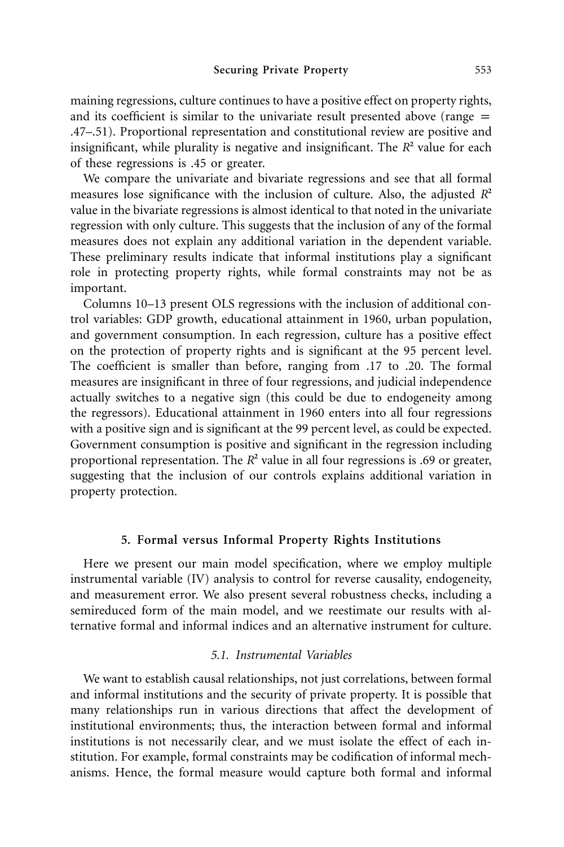maining regressions, culture continues to have a positive effect on property rights, and its coefficient is similar to the univariate result presented above (range  $=$ .47–.51). Proportional representation and constitutional review are positive and insignificant, while plurality is negative and insignificant. The  $R<sup>2</sup>$  value for each of these regressions is .45 or greater.

We compare the univariate and bivariate regressions and see that all formal measures lose significance with the inclusion of culture. Also, the adjusted  $R^2$ value in the bivariate regressions is almost identical to that noted in the univariate regression with only culture. This suggests that the inclusion of any of the formal measures does not explain any additional variation in the dependent variable. These preliminary results indicate that informal institutions play a significant role in protecting property rights, while formal constraints may not be as important.

Columns 10–13 present OLS regressions with the inclusion of additional control variables: GDP growth, educational attainment in 1960, urban population, and government consumption. In each regression, culture has a positive effect on the protection of property rights and is significant at the 95 percent level. The coefficient is smaller than before, ranging from .17 to .20. The formal measures are insignificant in three of four regressions, and judicial independence actually switches to a negative sign (this could be due to endogeneity among the regressors). Educational attainment in 1960 enters into all four regressions with a positive sign and is significant at the 99 percent level, as could be expected. Government consumption is positive and significant in the regression including proportional representation. The  $R^2$  value in all four regressions is .69 or greater, suggesting that the inclusion of our controls explains additional variation in property protection.

#### **5. Formal versus Informal Property Rights Institutions**

Here we present our main model specification, where we employ multiple instrumental variable (IV) analysis to control for reverse causality, endogeneity, and measurement error. We also present several robustness checks, including a semireduced form of the main model, and we reestimate our results with alternative formal and informal indices and an alternative instrument for culture.

#### *5.1. Instrumental Variables*

We want to establish causal relationships, not just correlations, between formal and informal institutions and the security of private property. It is possible that many relationships run in various directions that affect the development of institutional environments; thus, the interaction between formal and informal institutions is not necessarily clear, and we must isolate the effect of each institution. For example, formal constraints may be codification of informal mechanisms. Hence, the formal measure would capture both formal and informal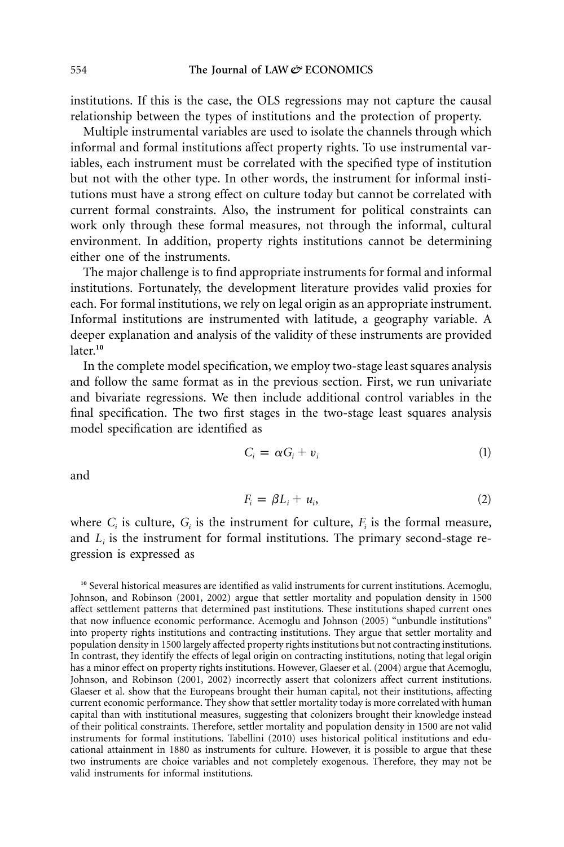institutions. If this is the case, the OLS regressions may not capture the causal relationship between the types of institutions and the protection of property.

Multiple instrumental variables are used to isolate the channels through which informal and formal institutions affect property rights. To use instrumental variables, each instrument must be correlated with the specified type of institution but not with the other type. In other words, the instrument for informal institutions must have a strong effect on culture today but cannot be correlated with current formal constraints. Also, the instrument for political constraints can work only through these formal measures, not through the informal, cultural environment. In addition, property rights institutions cannot be determining either one of the instruments.

The major challenge is to find appropriate instruments for formal and informal institutions. Fortunately, the development literature provides valid proxies for each. For formal institutions, we rely on legal origin as an appropriate instrument. Informal institutions are instrumented with latitude, a geography variable. A deeper explanation and analysis of the validity of these instruments are provided later.**<sup>10</sup>**

In the complete model specification, we employ two-stage least squares analysis and follow the same format as in the previous section. First, we run univariate and bivariate regressions. We then include additional control variables in the final specification. The two first stages in the two-stage least squares analysis model specification are identified as

$$
C_i = \alpha G_i + v_i \tag{1}
$$

and

$$
F_i = \beta L_i + u_i, \tag{2}
$$

where  $C_i$  is culture,  $G_i$  is the instrument for culture,  $F_i$  is the formal measure, and  $L_i$  is the instrument for formal institutions. The primary second-stage regression is expressed as

<sup>10</sup> Several historical measures are identified as valid instruments for current institutions. Acemoglu, Johnson, and Robinson (2001, 2002) argue that settler mortality and population density in 1500 affect settlement patterns that determined past institutions. These institutions shaped current ones that now influence economic performance. Acemoglu and Johnson (2005) "unbundle institutions" into property rights institutions and contracting institutions. They argue that settler mortality and population density in 1500 largely affected property rights institutions but not contracting institutions. In contrast, they identify the effects of legal origin on contracting institutions, noting that legal origin has a minor effect on property rights institutions. However, Glaeser et al. (2004) argue that Acemoglu, Johnson, and Robinson (2001, 2002) incorrectly assert that colonizers affect current institutions. Glaeser et al. show that the Europeans brought their human capital, not their institutions, affecting current economic performance. They show that settler mortality today is more correlated with human capital than with institutional measures, suggesting that colonizers brought their knowledge instead of their political constraints. Therefore, settler mortality and population density in 1500 are not valid instruments for formal institutions. Tabellini (2010) uses historical political institutions and educational attainment in 1880 as instruments for culture. However, it is possible to argue that these two instruments are choice variables and not completely exogenous. Therefore, they may not be valid instruments for informal institutions.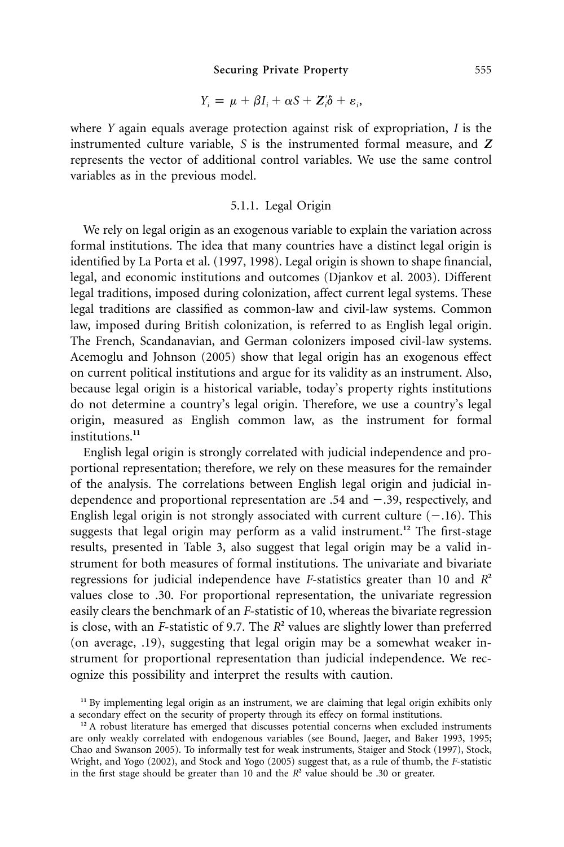$$
Y_i = \mu + \beta I_i + \alpha S + Z_i' \delta + \varepsilon_i,
$$

where *Y* again equals average protection against risk of expropriation, *I* is the instrumented culture variable, *S* is the instrumented formal measure, and *Z* represents the vector of additional control variables. We use the same control variables as in the previous model.

# 5.1.1. Legal Origin

We rely on legal origin as an exogenous variable to explain the variation across formal institutions. The idea that many countries have a distinct legal origin is identified by La Porta et al. (1997, 1998). Legal origin is shown to shape financial, legal, and economic institutions and outcomes (Djankov et al. 2003). Different legal traditions, imposed during colonization, affect current legal systems. These legal traditions are classified as common-law and civil-law systems. Common law, imposed during British colonization, is referred to as English legal origin. The French, Scandanavian, and German colonizers imposed civil-law systems. Acemoglu and Johnson (2005) show that legal origin has an exogenous effect on current political institutions and argue for its validity as an instrument. Also, because legal origin is a historical variable, today's property rights institutions do not determine a country's legal origin. Therefore, we use a country's legal origin, measured as English common law, as the instrument for formal institutions.**<sup>11</sup>**

English legal origin is strongly correlated with judicial independence and proportional representation; therefore, we rely on these measures for the remainder of the analysis. The correlations between English legal origin and judicial independence and proportional representation are .54 and -.39, respectively, and English legal origin is not strongly associated with current culture  $(-.16)$ . This suggests that legal origin may perform as a valid instrument.**<sup>12</sup>** The first-stage results, presented in Table 3, also suggest that legal origin may be a valid instrument for both measures of formal institutions. The univariate and bivariate regressions for judicial independence have *F*-statistics greater than 10 and *R***<sup>2</sup>** values close to .30. For proportional representation, the univariate regression easily clears the benchmark of an *F*-statistic of 10, whereas the bivariate regression is close, with an *F*-statistic of 9.7. The  $R^2$  values are slightly lower than preferred (on average, .19), suggesting that legal origin may be a somewhat weaker instrument for proportional representation than judicial independence. We recognize this possibility and interpret the results with caution.

**<sup>11</sup>** By implementing legal origin as an instrument, we are claiming that legal origin exhibits only a secondary effect on the security of property through its effecy on formal institutions.

<sup>&</sup>lt;sup>12</sup> A robust literature has emerged that discusses potential concerns when excluded instruments are only weakly correlated with endogenous variables (see Bound, Jaeger, and Baker 1993, 1995; Chao and Swanson 2005). To informally test for weak instruments, Staiger and Stock (1997), Stock, Wright, and Yogo (2002), and Stock and Yogo (2005) suggest that, as a rule of thumb, the *F*-statistic in the first stage should be greater than 10 and the  $R^2$  value should be .30 or greater.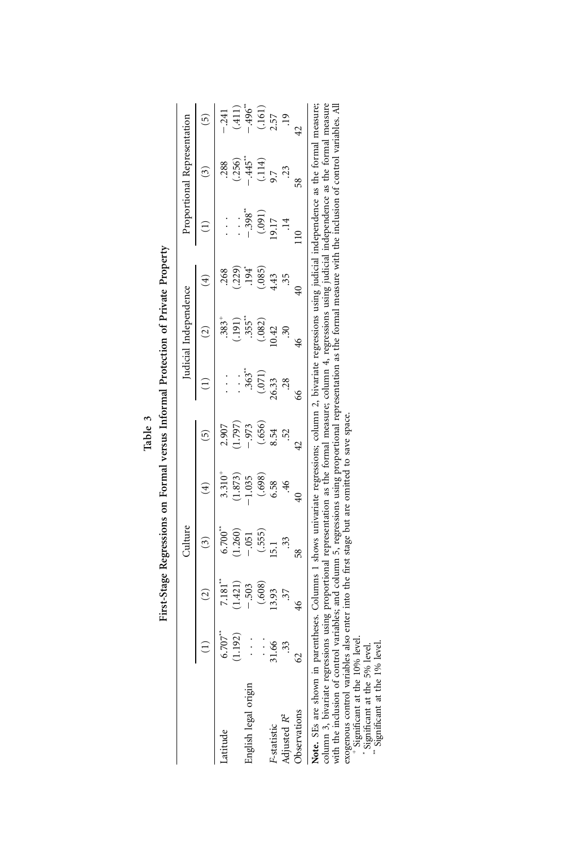|                                                                                                                            |                       |                          | Culture                                                              |                                                                       |                                                                   |                                          | Iudicial Independence                                                            |                                               |                                           | roportional Representation                                   |                                                                                                       |
|----------------------------------------------------------------------------------------------------------------------------|-----------------------|--------------------------|----------------------------------------------------------------------|-----------------------------------------------------------------------|-------------------------------------------------------------------|------------------------------------------|----------------------------------------------------------------------------------|-----------------------------------------------|-------------------------------------------|--------------------------------------------------------------|-------------------------------------------------------------------------------------------------------|
|                                                                                                                            |                       | $\overline{\omega}$      | $\omega$                                                             | $\widehat{\mathbf{f}}$                                                | $\widetilde{5}$                                                   |                                          | $\widehat{\Omega}$                                                               | €                                             |                                           | $\omega$                                                     | $\widetilde{\mathbf{c}}$                                                                              |
| Latitude                                                                                                                   | $6.707$ <sup>**</sup> | $7.181$ <sup>*</sup>     |                                                                      |                                                                       |                                                                   |                                          |                                                                                  |                                               |                                           |                                                              |                                                                                                       |
|                                                                                                                            | (1.192)               | (1.421)                  |                                                                      |                                                                       |                                                                   | $\vdots$                                 |                                                                                  |                                               | $\vdots$                                  |                                                              |                                                                                                       |
| origin<br>English legal                                                                                                    | $\frac{1}{2}$         | $-.503$                  |                                                                      |                                                                       |                                                                   |                                          |                                                                                  |                                               |                                           |                                                              |                                                                                                       |
|                                                                                                                            |                       |                          | $6.700$ <sup>**</sup><br>(1.260)<br>(.555)<br>(.555)<br>15.1<br>15.1 |                                                                       | $2.907$<br>$(1.797)$<br>$(0.56)$<br>$(0.54)$<br>$8.52$<br>$\cdot$ | $.363$ *<br>$(.071)$<br>$26.33$<br>$.28$ |                                                                                  | $.268$<br>$(.229)$<br>$.94$<br>$.43$<br>$.55$ | $-398$<br>(.091)<br>(.091)<br>19.17<br>14 | $.288$<br>$(.256)$<br>$-.445$<br>$(.114)$<br>$9.7$<br>$0.23$ |                                                                                                       |
| F-statistic                                                                                                                | $31.66$<br>33         |                          |                                                                      |                                                                       |                                                                   |                                          |                                                                                  |                                               |                                           |                                                              |                                                                                                       |
| Adjusted R <sup>2</sup>                                                                                                    |                       | $(0.608)$<br>13.93<br>37 |                                                                      | $3.310^{+}$<br>$(1.873)$<br>$-1.035$<br>$(.698)$<br>$(.698)$<br>$.46$ |                                                                   |                                          | $.383+$<br>$(.191)$<br>$(.191)$<br>$.355*$<br>$.355*$<br>$.30$<br>$.30$<br>$.30$ |                                               |                                           |                                                              | $-241$<br>$(411)$<br>$-496$ <sup>*</sup><br>$-496$ <sup>*</sup><br>$(161)$<br>$2.57$<br>$-19$<br>$42$ |
| Observations                                                                                                               | 62                    | 46                       | 58                                                                   | $\overline{40}$                                                       | 42                                                                | 66                                       |                                                                                  | $\overline{40}$                               | $\frac{10}{10}$                           | 58                                                           |                                                                                                       |
| Note. SEs are shown in parentheses. Columns 1 shows univariate recressions: column 2, bivariate recressions using indicial |                       |                          |                                                                      |                                                                       |                                                                   |                                          |                                                                                  |                                               | independence as the formal measure:       |                                                              |                                                                                                       |

| $\ddot{\cdot}$ |
|----------------|
|                |
|                |
| ֠              |

**Note.** SEs are shown in parentheses. Columns 1 shows univariate regressions; column 2, bivariate regressions using judicial independence as the formal measure; column 3, bivariate regressions using proportional representation as the formal measure; column 4, regressions using judicial independence as the formal measure with the inclusion of control variables; and column 5, regressions using proportional representation as the formal measure with the inclusion of control variables. All exogenous control variables also enter into the first stage but are omitted to save space.

**\***Significant at the 10% level.

Significant at the 5% level.

**\*\*** Significant at the 1% level.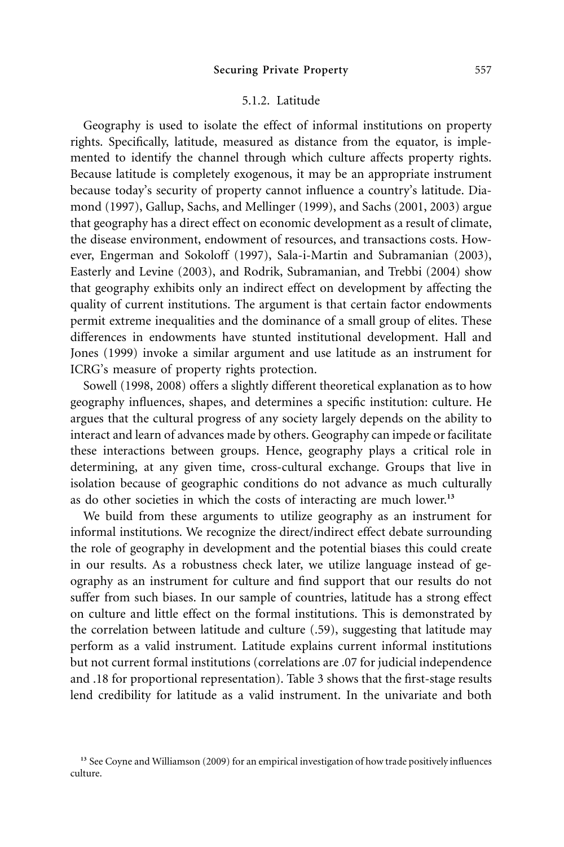#### **Securing Private Property** 557

### 5.1.2. Latitude

Geography is used to isolate the effect of informal institutions on property rights. Specifically, latitude, measured as distance from the equator, is implemented to identify the channel through which culture affects property rights. Because latitude is completely exogenous, it may be an appropriate instrument because today's security of property cannot influence a country's latitude. Diamond (1997), Gallup, Sachs, and Mellinger (1999), and Sachs (2001, 2003) argue that geography has a direct effect on economic development as a result of climate, the disease environment, endowment of resources, and transactions costs. However, Engerman and Sokoloff (1997), Sala-i-Martin and Subramanian (2003), Easterly and Levine (2003), and Rodrik, Subramanian, and Trebbi (2004) show that geography exhibits only an indirect effect on development by affecting the quality of current institutions. The argument is that certain factor endowments permit extreme inequalities and the dominance of a small group of elites. These differences in endowments have stunted institutional development. Hall and Jones (1999) invoke a similar argument and use latitude as an instrument for ICRG's measure of property rights protection.

Sowell (1998, 2008) offers a slightly different theoretical explanation as to how geography influences, shapes, and determines a specific institution: culture. He argues that the cultural progress of any society largely depends on the ability to interact and learn of advances made by others. Geography can impede or facilitate these interactions between groups. Hence, geography plays a critical role in determining, at any given time, cross-cultural exchange. Groups that live in isolation because of geographic conditions do not advance as much culturally as do other societies in which the costs of interacting are much lower.**<sup>13</sup>**

We build from these arguments to utilize geography as an instrument for informal institutions. We recognize the direct/indirect effect debate surrounding the role of geography in development and the potential biases this could create in our results. As a robustness check later, we utilize language instead of geography as an instrument for culture and find support that our results do not suffer from such biases. In our sample of countries, latitude has a strong effect on culture and little effect on the formal institutions. This is demonstrated by the correlation between latitude and culture (.59), suggesting that latitude may perform as a valid instrument. Latitude explains current informal institutions but not current formal institutions (correlations are .07 for judicial independence and .18 for proportional representation). Table 3 shows that the first-stage results lend credibility for latitude as a valid instrument. In the univariate and both

**<sup>13</sup>** See Coyne and Williamson (2009) for an empirical investigation of how trade positively influences culture.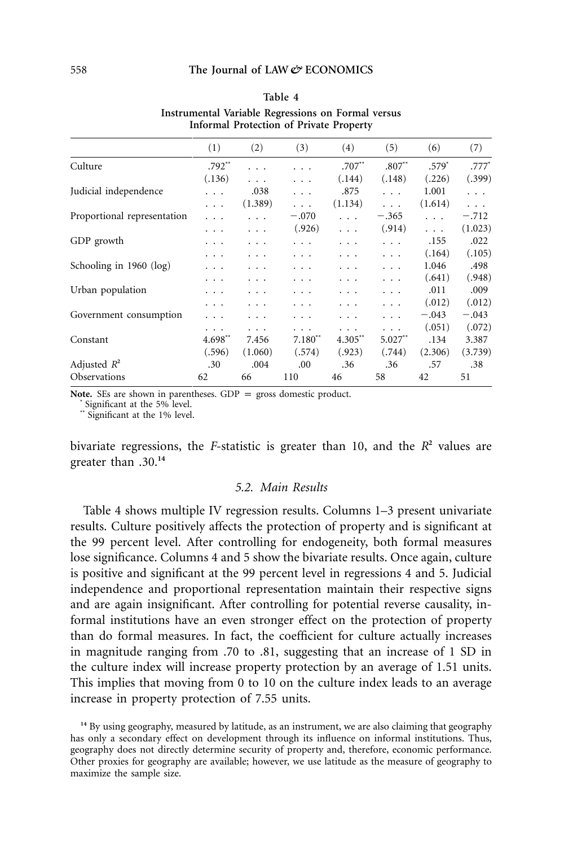|                             |          |         | morniar rrotection or rritate rroperty |                       |                       |         |          |
|-----------------------------|----------|---------|----------------------------------------|-----------------------|-----------------------|---------|----------|
|                             | (1)      | (2)     | (3)                                    | (4)                   | (5)                   | (6)     | (7)      |
| Culture                     | $.792**$ | .       |                                        | $.707^{**}$           | $.807**$              | $.579*$ | $.777*$  |
|                             | (.136)   | .       | .                                      | (.144)                | (.148)                | (.226)  | (.399)   |
| Judicial independence       | .        | .038    | .                                      | .875                  | $\cdots$              | 1.001   | $\cdots$ |
|                             | .        | (1.389) | .                                      | (1.134)               | .                     | (1.614) | $\cdots$ |
| Proportional representation | .        | .       | $-.070$                                | $\cdots$              | $-.365$               | .       | $-.712$  |
|                             | .        | .       | (.926)                                 | $\cdots$              | (.914)                | .       | (1.023)  |
| GDP growth                  | .        | .       | .                                      | .                     | .                     | .155    | .022     |
|                             | .        | .       | .                                      | .                     | .                     | (.164)  | (.105)   |
| Schooling in $1960$ (log)   | .        | .       | .                                      | .                     | .                     | 1.046   | .498     |
|                             | .        | .       | .                                      | .                     | $\cdots$              | (.641)  | (.948)   |
| Urban population            | .        | .       | .                                      | .                     | .                     | .011    | .009     |
|                             | .        | .       | .                                      | .                     | .                     | (.012)  | (.012)   |
| Government consumption      |          |         | .                                      | .                     | .                     | $-.043$ | $-.043$  |
|                             | .        | .       | .                                      | $\cdots$              | .                     | (.051)  | (.072)   |
| Constant                    | 4.698**  | 7.456   | $7.180^{**}$                           | $4.305$ <sup>**</sup> | $5.027$ <sup>**</sup> | .134    | 3.387    |
|                             | (.596)   | (1.060) | (.574)                                 | (.923)                | (.744)                | (2.306) | (3.739)  |
| Adjusted $R^2$              | .30      | .004    | .00                                    | .36                   | .36                   | .57     | .38      |
| <b>Observations</b>         | 62       | 66      | 110                                    | 46                    | 58                    | 42      | 51       |
|                             |          |         |                                        |                       |                       |         |          |

| Table 4                                            |
|----------------------------------------------------|
| Instrumental Variable Regressions on Formal versus |
| Informal Protection of Private Property            |

**Note.** SEs are shown in parentheses. GDP = gross domestic product. **\*** Significant at the 5% level.

**\*\*** Significant at the 1% level.

bivariate regressions, the *F*-statistic is greater than 10, and the  $R^2$  values are greater than .30.**<sup>14</sup>**

# *5.2. Main Results*

Table 4 shows multiple IV regression results. Columns 1–3 present univariate results. Culture positively affects the protection of property and is significant at the 99 percent level. After controlling for endogeneity, both formal measures lose significance. Columns 4 and 5 show the bivariate results. Once again, culture is positive and significant at the 99 percent level in regressions 4 and 5. Judicial independence and proportional representation maintain their respective signs and are again insignificant. After controlling for potential reverse causality, informal institutions have an even stronger effect on the protection of property than do formal measures. In fact, the coefficient for culture actually increases in magnitude ranging from .70 to .81, suggesting that an increase of 1 SD in the culture index will increase property protection by an average of 1.51 units. This implies that moving from 0 to 10 on the culture index leads to an average increase in property protection of 7.55 units.

**<sup>14</sup>** By using geography, measured by latitude, as an instrument, we are also claiming that geography has only a secondary effect on development through its influence on informal institutions. Thus, geography does not directly determine security of property and, therefore, economic performance. Other proxies for geography are available; however, we use latitude as the measure of geography to maximize the sample size.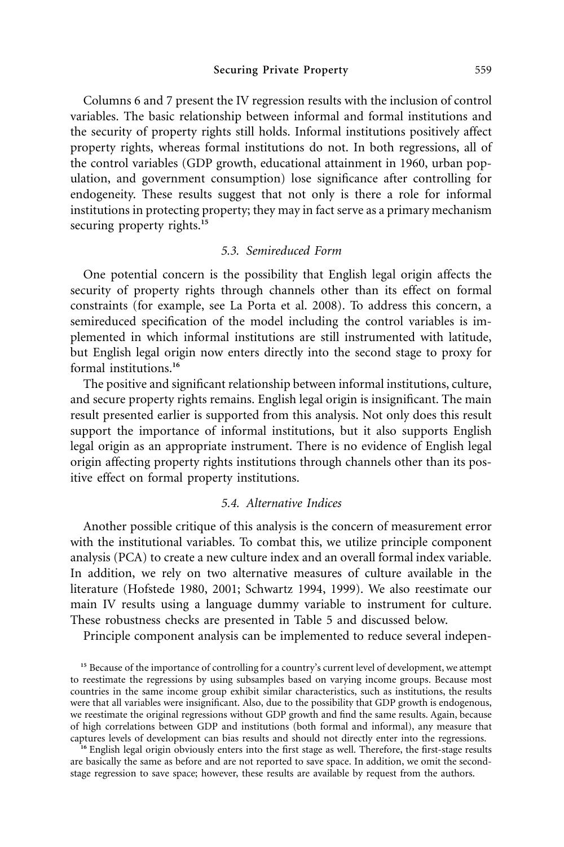Columns 6 and 7 present the IV regression results with the inclusion of control variables. The basic relationship between informal and formal institutions and the security of property rights still holds. Informal institutions positively affect property rights, whereas formal institutions do not. In both regressions, all of the control variables (GDP growth, educational attainment in 1960, urban population, and government consumption) lose significance after controlling for endogeneity. These results suggest that not only is there a role for informal institutions in protecting property; they may in fact serve as a primary mechanism securing property rights.**<sup>15</sup>**

#### *5.3. Semireduced Form*

One potential concern is the possibility that English legal origin affects the security of property rights through channels other than its effect on formal constraints (for example, see La Porta et al. 2008). To address this concern, a semireduced specification of the model including the control variables is implemented in which informal institutions are still instrumented with latitude, but English legal origin now enters directly into the second stage to proxy for formal institutions.**<sup>16</sup>**

The positive and significant relationship between informal institutions, culture, and secure property rights remains. English legal origin is insignificant. The main result presented earlier is supported from this analysis. Not only does this result support the importance of informal institutions, but it also supports English legal origin as an appropriate instrument. There is no evidence of English legal origin affecting property rights institutions through channels other than its positive effect on formal property institutions.

# *5.4. Alternative Indices*

Another possible critique of this analysis is the concern of measurement error with the institutional variables. To combat this, we utilize principle component analysis (PCA) to create a new culture index and an overall formal index variable. In addition, we rely on two alternative measures of culture available in the literature (Hofstede 1980, 2001; Schwartz 1994, 1999). We also reestimate our main IV results using a language dummy variable to instrument for culture. These robustness checks are presented in Table 5 and discussed below.

Principle component analysis can be implemented to reduce several indepen-

<sup>15</sup> Because of the importance of controlling for a country's current level of development, we attempt to reestimate the regressions by using subsamples based on varying income groups. Because most countries in the same income group exhibit similar characteristics, such as institutions, the results were that all variables were insignificant. Also, due to the possibility that GDP growth is endogenous, we reestimate the original regressions without GDP growth and find the same results. Again, because of high correlations between GDP and institutions (both formal and informal), any measure that captures levels of development can bias results and should not directly enter into the regressions.

<sup>16</sup> English legal origin obviously enters into the first stage as well. Therefore, the first-stage results are basically the same as before and are not reported to save space. In addition, we omit the secondstage regression to save space; however, these results are available by request from the authors.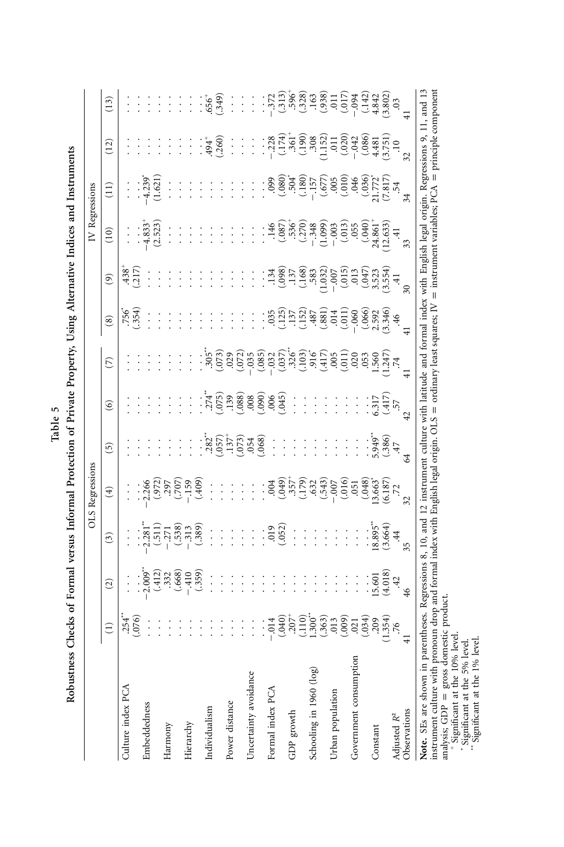| ļ<br>ļ           |
|------------------|
|                  |
| ļ                |
| j                |
|                  |
| l                |
|                  |
| i                |
| ć<br>Ŷ<br>ľ<br>i |

|                                                                                                                                                                      |                                                                                                                                                                                                                                                                                                                                                   |                                                                 |                                                                                                                                                                              | OLS Regressions                                                           |                           |                                                                    |                                                                                                                                          |                                                                                                                                                                    |                                                                                                                                                                                                                                                                                                                                                               | IV Regressions                                                                                                                                                                                                                                                            |                                                                                                                                                                                                                                                                                              |                |                                                                       |
|----------------------------------------------------------------------------------------------------------------------------------------------------------------------|---------------------------------------------------------------------------------------------------------------------------------------------------------------------------------------------------------------------------------------------------------------------------------------------------------------------------------------------------|-----------------------------------------------------------------|------------------------------------------------------------------------------------------------------------------------------------------------------------------------------|---------------------------------------------------------------------------|---------------------------|--------------------------------------------------------------------|------------------------------------------------------------------------------------------------------------------------------------------|--------------------------------------------------------------------------------------------------------------------------------------------------------------------|---------------------------------------------------------------------------------------------------------------------------------------------------------------------------------------------------------------------------------------------------------------------------------------------------------------------------------------------------------------|---------------------------------------------------------------------------------------------------------------------------------------------------------------------------------------------------------------------------------------------------------------------------|----------------------------------------------------------------------------------------------------------------------------------------------------------------------------------------------------------------------------------------------------------------------------------------------|----------------|-----------------------------------------------------------------------|
|                                                                                                                                                                      | $\widehat{\Xi}$                                                                                                                                                                                                                                                                                                                                   | $\widehat{c}$                                                   | $\widehat{c}$                                                                                                                                                                | $\widehat{f}$                                                             | 0                         | $\circledcirc$                                                     | $\widehat{\triangleright}$                                                                                                               | $\circledast$                                                                                                                                                      | $\widehat{e}$                                                                                                                                                                                                                                                                                                                                                 | $\left(10\right)$                                                                                                                                                                                                                                                         | $\Xi$                                                                                                                                                                                                                                                                                        | (12)           | (13)                                                                  |
| Culture index PCA                                                                                                                                                    |                                                                                                                                                                                                                                                                                                                                                   | $\vdots$                                                        | $\vdots$                                                                                                                                                                     | $\vdots$                                                                  |                           |                                                                    |                                                                                                                                          | $.756$<br>354                                                                                                                                                      | $438^{+}$<br>$-17$                                                                                                                                                                                                                                                                                                                                            | $\vdots$                                                                                                                                                                                                                                                                  | $\vdots$                                                                                                                                                                                                                                                                                     |                | $\vdots$                                                              |
|                                                                                                                                                                      | $.254$<br>$.076$                                                                                                                                                                                                                                                                                                                                  |                                                                 |                                                                                                                                                                              |                                                                           |                           |                                                                    |                                                                                                                                          |                                                                                                                                                                    |                                                                                                                                                                                                                                                                                                                                                               |                                                                                                                                                                                                                                                                           |                                                                                                                                                                                                                                                                                              |                |                                                                       |
| Embeddedness                                                                                                                                                         | $\vdots$                                                                                                                                                                                                                                                                                                                                          | $\frac{1}{2}$                                                   |                                                                                                                                                                              | 2.266                                                                     | $\ddot{\phantom{0}}$      |                                                                    |                                                                                                                                          |                                                                                                                                                                    |                                                                                                                                                                                                                                                                                                                                                               |                                                                                                                                                                                                                                                                           | 4.239                                                                                                                                                                                                                                                                                        | $\frac{1}{2}$  |                                                                       |
|                                                                                                                                                                      | $\vdots$                                                                                                                                                                                                                                                                                                                                          | $(12, 3, 3)$<br>$(3, 3, 6)$<br>$(4, 1)$<br>$(5, 6)$<br>$(7, 1)$ |                                                                                                                                                                              | $(97)$<br>$(97)$<br>$(97)$<br>$(97)$<br>$(97)$<br>$(97)$                  | $\ddot{\phantom{0}}$      |                                                                    |                                                                                                                                          |                                                                                                                                                                    |                                                                                                                                                                                                                                                                                                                                                               | $.4.833$ <sup>+</sup><br>(2.523)                                                                                                                                                                                                                                          | (1.621)                                                                                                                                                                                                                                                                                      | $\ddot{\cdot}$ |                                                                       |
| Harmony                                                                                                                                                              | $\vdots$                                                                                                                                                                                                                                                                                                                                          |                                                                 |                                                                                                                                                                              |                                                                           | $\ddot{\cdot}$            |                                                                    | $\ddot{\cdot}$                                                                                                                           |                                                                                                                                                                    |                                                                                                                                                                                                                                                                                                                                                               | $\vdots$                                                                                                                                                                                                                                                                  | $\vdots$                                                                                                                                                                                                                                                                                     | Ì              | $\vdots$                                                              |
|                                                                                                                                                                      | $\vdots$                                                                                                                                                                                                                                                                                                                                          |                                                                 |                                                                                                                                                                              |                                                                           | ļ.                        |                                                                    |                                                                                                                                          | $\vdots$                                                                                                                                                           |                                                                                                                                                                                                                                                                                                                                                               | $\vdots$                                                                                                                                                                                                                                                                  | $\vdots$                                                                                                                                                                                                                                                                                     | ł              | ÷                                                                     |
| Hierarchy                                                                                                                                                            | $\vdots$                                                                                                                                                                                                                                                                                                                                          |                                                                 |                                                                                                                                                                              |                                                                           | ł                         | $\vdots$                                                           | $\vdots$                                                                                                                                 | $\vdots$                                                                                                                                                           |                                                                                                                                                                                                                                                                                                                                                               | $\frac{1}{1}$                                                                                                                                                                                                                                                             | $\vdots$                                                                                                                                                                                                                                                                                     | $\cdot$        | $\frac{1}{2}$                                                         |
|                                                                                                                                                                      | $\frac{1}{1}$                                                                                                                                                                                                                                                                                                                                     | (.359)                                                          | $\begin{array}{c} . \ . \ . \  \  \, 2.3 \  \, . \  \  \, 2.71 \\ . \  \  \, 0.5 \  \, 0.33 \\ . \  \  \, 0.33 \  \, . \  \  \, 0.39 \\ . \  \  \, 0.33 \  \, . \end{array}$ | (409)                                                                     |                           |                                                                    |                                                                                                                                          | $\vdots$                                                                                                                                                           |                                                                                                                                                                                                                                                                                                                                                               |                                                                                                                                                                                                                                                                           | $\cdot$                                                                                                                                                                                                                                                                                      |                |                                                                       |
| Individualism                                                                                                                                                        | $\vdots$                                                                                                                                                                                                                                                                                                                                          | $\vdots$                                                        | $\vdots$                                                                                                                                                                     | $\frac{1}{2}$                                                             |                           |                                                                    | $\frac{305}{ }$                                                                                                                          | $\vdots$                                                                                                                                                           |                                                                                                                                                                                                                                                                                                                                                               | $\vdots$                                                                                                                                                                                                                                                                  | $\ddot{\cdot}$                                                                                                                                                                                                                                                                               | $.94^{+}$      |                                                                       |
|                                                                                                                                                                      | $\vdots$                                                                                                                                                                                                                                                                                                                                          | $\ddot{\phantom{0}}$                                            | $\vdots$                                                                                                                                                                     | $\vdots$                                                                  | 385.9988.                 | $(36, 20)$<br>$(37, 20)$<br>$(38, 20)$<br>$(36, 20)$<br>$(36, 20)$ | $(0, 73)$<br>$(0, 0, 2)$<br>$(0, 73)$<br>$(0, 73)$                                                                                       | $\vdots$                                                                                                                                                           |                                                                                                                                                                                                                                                                                                                                                               | $\vdots$                                                                                                                                                                                                                                                                  | $\vdots$                                                                                                                                                                                                                                                                                     | (.260)         | $656^{+}$<br>$650^{+}$                                                |
| Power distance                                                                                                                                                       | $\vdots$                                                                                                                                                                                                                                                                                                                                          | $\ddot{\phantom{0}}$                                            | $\vdots$                                                                                                                                                                     | $\vdots$                                                                  |                           |                                                                    |                                                                                                                                          | $\ddot{\phantom{0}}$                                                                                                                                               |                                                                                                                                                                                                                                                                                                                                                               | $\vdots$                                                                                                                                                                                                                                                                  | $\ddot{\cdot}$                                                                                                                                                                                                                                                                               | $\vdots$       | $\vdots$                                                              |
|                                                                                                                                                                      | $\vdots$                                                                                                                                                                                                                                                                                                                                          | $\ddot{\phantom{0}}$                                            | $\vdots$                                                                                                                                                                     | $\vdots$                                                                  |                           |                                                                    |                                                                                                                                          | ł                                                                                                                                                                  |                                                                                                                                                                                                                                                                                                                                                               | $\vdots$                                                                                                                                                                                                                                                                  | $\ddot{\cdot}$                                                                                                                                                                                                                                                                               | $\vdots$       | $\vdots$                                                              |
| Uncertainty avoidance                                                                                                                                                | $\vdots$                                                                                                                                                                                                                                                                                                                                          | ł                                                               | $\vdots$                                                                                                                                                                     | $\vdots$                                                                  |                           |                                                                    |                                                                                                                                          | $\frac{1}{2}$                                                                                                                                                      |                                                                                                                                                                                                                                                                                                                                                               | $\vdots$                                                                                                                                                                                                                                                                  | $\vdots$                                                                                                                                                                                                                                                                                     | $\frac{1}{2}$  | $\frac{1}{2}$                                                         |
|                                                                                                                                                                      | $\vdots$                                                                                                                                                                                                                                                                                                                                          | $\frac{1}{2}$                                                   | $\vdots$                                                                                                                                                                     | $\vdots$                                                                  |                           |                                                                    |                                                                                                                                          |                                                                                                                                                                    | $\vdots$                                                                                                                                                                                                                                                                                                                                                      | $\vdots$                                                                                                                                                                                                                                                                  | $\vdots$                                                                                                                                                                                                                                                                                     | $\vdots$       |                                                                       |
| Formal index PCA                                                                                                                                                     |                                                                                                                                                                                                                                                                                                                                                   | Ì                                                               |                                                                                                                                                                              |                                                                           | $\vdots$                  | 49.045                                                             |                                                                                                                                          |                                                                                                                                                                    |                                                                                                                                                                                                                                                                                                                                                               |                                                                                                                                                                                                                                                                           |                                                                                                                                                                                                                                                                                              |                |                                                                       |
|                                                                                                                                                                      | $\begin{array}{r} -0.14 \\[-4pt] -0.40 \\[-4pt] -0.50 \\[-4pt] -0.50 \\[-4pt] -0.50 \\[-4pt] -0.50 \\[-4pt] -0.50 \\[-4pt] -0.50 \\[-4pt] -0.50 \\[-4pt] -0.50 \\[-4pt] -0.50 \\[-4pt] -0.50 \\[-4pt] -0.50 \\[-4pt] -0.50 \\[-4pt] -0.50 \\[-4pt] -0.50 \\[-4pt] -0.50 \\[-4pt] -0.50 \\[-4pt] -0.50 \\[-4pt] -0.50 \\[-4pt] -0.50 \\[-4pt] -0.$ | $\ddot{\cdot}$                                                  | (0.052)                                                                                                                                                                      | $(049)$<br>$(049)$<br>$(057)$<br>$(057)$<br>$(057)$<br>$(057)$<br>$(057)$ | $\frac{1}{2}$             |                                                                    | $(0.085)$<br>$(0.037)$                                                                                                                   | $:$ $\frac{35}{21}$ , $\frac{5}{21}$ , $\frac{25}{21}$ , $\frac{25}{21}$ , $\frac{25}{21}$ , $\frac{25}{21}$ , $\frac{25}{21}$ , $\frac{25}{21}$ , $\frac{25}{21}$ | $.134$<br>$(.098)$                                                                                                                                                                                                                                                                                                                                            | $\begin{array}{cccccc} 1.46 & 0.087 & 0.000 & 0.000 & 0.000 & 0.000 & 0.000 & 0.000 & 0.000 & 0.000 & 0.000 & 0.000 & 0.000 & 0.000 & 0.000 & 0.000 & 0.000 & 0.000 & 0.000 & 0.000 & 0.000 & 0.000 & 0.000 & 0.000 & 0.000 & 0.000 & 0.000 & 0.000 & 0.000 & 0.000 & 0.$ | $\begin{array}{c} (7.817)\\ (7.817)\\ (7.817)\\ (7.817)\\ (7.817)\\ (7.817)\\ (7.817)\\ (7.817)\\ (7.817)\\ (7.817)\\ (7.817)\\ (7.817)\\ (7.817)\\ (7.817)\\ (7.817)\\ (7.817)\\ (7.817)\\ (7.817)\\ (7.817)\\ (8.817)\\ (9.817)\\ (1.817)\\ (1.817)\\ (2.817)\\ (3.817)\\ (4.817)\\ (5.81$ |                | $\begin{array}{c}\n.253 \\ .752 \\ .753 \\ .754 \\ .755\n\end{array}$ |
| GDP growth                                                                                                                                                           |                                                                                                                                                                                                                                                                                                                                                   | $\ddot{\phantom{0}}$                                            | $\vdots$                                                                                                                                                                     |                                                                           | $\vdots$                  | $\frac{1}{2}$                                                      |                                                                                                                                          |                                                                                                                                                                    |                                                                                                                                                                                                                                                                                                                                                               |                                                                                                                                                                                                                                                                           |                                                                                                                                                                                                                                                                                              |                |                                                                       |
|                                                                                                                                                                      |                                                                                                                                                                                                                                                                                                                                                   | $\ddot{\phantom{0}}$                                            | $\vdots$                                                                                                                                                                     |                                                                           | $\vdots$                  | $\ddot{\phantom{0}}$                                               |                                                                                                                                          |                                                                                                                                                                    |                                                                                                                                                                                                                                                                                                                                                               |                                                                                                                                                                                                                                                                           |                                                                                                                                                                                                                                                                                              |                |                                                                       |
| Schooling in 1960 (log)                                                                                                                                              |                                                                                                                                                                                                                                                                                                                                                   | $\vdots$                                                        | l.<br>I                                                                                                                                                                      |                                                                           | ŀ                         | $\vdots$                                                           |                                                                                                                                          |                                                                                                                                                                    |                                                                                                                                                                                                                                                                                                                                                               |                                                                                                                                                                                                                                                                           |                                                                                                                                                                                                                                                                                              |                |                                                                       |
|                                                                                                                                                                      |                                                                                                                                                                                                                                                                                                                                                   | ł                                                               | $\vdots$                                                                                                                                                                     |                                                                           | ļ                         |                                                                    |                                                                                                                                          |                                                                                                                                                                    |                                                                                                                                                                                                                                                                                                                                                               |                                                                                                                                                                                                                                                                           |                                                                                                                                                                                                                                                                                              |                |                                                                       |
| Urban population                                                                                                                                                     |                                                                                                                                                                                                                                                                                                                                                   | $\frac{1}{2}$                                                   | $\vdots$                                                                                                                                                                     |                                                                           | $\vdots$                  |                                                                    |                                                                                                                                          |                                                                                                                                                                    |                                                                                                                                                                                                                                                                                                                                                               |                                                                                                                                                                                                                                                                           |                                                                                                                                                                                                                                                                                              |                |                                                                       |
|                                                                                                                                                                      |                                                                                                                                                                                                                                                                                                                                                   | $\vdots$                                                        | ŀ                                                                                                                                                                            | $(0.16)$<br>$(0.61)$<br>$(0.48)$<br>$(0.63)$<br>$(0.187)$<br>$(0.187)$    | $\vdots$                  |                                                                    | $36\overline{)}$<br>$35\overline{)}$<br>$35\overline{)}$<br>$35\overline{)}$<br>$30\overline{)}$<br>$30\overline{)}$<br>$30\overline{)}$ |                                                                                                                                                                    | $\begin{array}{c} 137 \\[-4pt] -130 \\[-4pt] -130 \\[-4pt] -130 \\[-4pt] -130 \\[-4pt] -130 \\[-4pt] -130 \\[-4pt] -130 \\[-4pt] -130 \\[-4pt] -130 \\[-4pt] -130 \\[-4pt] -130 \\[-4pt] -130 \\[-4pt] -130 \\[-4pt] -130 \\[-4pt] -130 \\[-4pt] -130 \\[-4pt] -130 \\[-4pt] -130 \\[-4pt] -130 \\[-4pt] -130 \\[-4pt] -130 \\[-4pt] -130 \\[-4pt] -130 \\[-$ |                                                                                                                                                                                                                                                                           |                                                                                                                                                                                                                                                                                              |                |                                                                       |
| Government consumption                                                                                                                                               |                                                                                                                                                                                                                                                                                                                                                   | $\frac{1}{2}$                                                   | $\vdots$                                                                                                                                                                     |                                                                           | $\vdots$                  | $\vdots$                                                           |                                                                                                                                          |                                                                                                                                                                    |                                                                                                                                                                                                                                                                                                                                                               |                                                                                                                                                                                                                                                                           |                                                                                                                                                                                                                                                                                              |                |                                                                       |
|                                                                                                                                                                      | (.634)                                                                                                                                                                                                                                                                                                                                            | $\vdots$                                                        |                                                                                                                                                                              |                                                                           |                           | $\vdots$                                                           | $.053$<br>$1.560$<br>$1.247$                                                                                                             | $(.66)$<br>$(.392)$<br>$(.392)$<br>$+(-46)$                                                                                                                        | $\begin{array}{c} (047) \\ 3.523 \\ (3.534) \end{array}$                                                                                                                                                                                                                                                                                                      |                                                                                                                                                                                                                                                                           |                                                                                                                                                                                                                                                                                              |                |                                                                       |
| Constant                                                                                                                                                             |                                                                                                                                                                                                                                                                                                                                                   |                                                                 |                                                                                                                                                                              |                                                                           |                           | 6.317                                                              |                                                                                                                                          |                                                                                                                                                                    |                                                                                                                                                                                                                                                                                                                                                               |                                                                                                                                                                                                                                                                           |                                                                                                                                                                                                                                                                                              |                |                                                                       |
|                                                                                                                                                                      | $.354$<br>$.354$<br>$.76$                                                                                                                                                                                                                                                                                                                         | $5,601$<br>$(4.018)$<br>$42$                                    | $.8.895$<br>(3.664)                                                                                                                                                          |                                                                           | $.949$<br>$.949$<br>$.47$ | $-57$<br>57                                                        |                                                                                                                                          |                                                                                                                                                                    |                                                                                                                                                                                                                                                                                                                                                               |                                                                                                                                                                                                                                                                           |                                                                                                                                                                                                                                                                                              |                |                                                                       |
| Adjusted R <sup>2</sup>                                                                                                                                              |                                                                                                                                                                                                                                                                                                                                                   |                                                                 |                                                                                                                                                                              |                                                                           |                           |                                                                    |                                                                                                                                          |                                                                                                                                                                    |                                                                                                                                                                                                                                                                                                                                                               |                                                                                                                                                                                                                                                                           |                                                                                                                                                                                                                                                                                              |                |                                                                       |
| Observations                                                                                                                                                         |                                                                                                                                                                                                                                                                                                                                                   | $\tilde{a}$                                                     | 35 <sub>5</sub>                                                                                                                                                              | $\tilde{z}$                                                               |                           |                                                                    |                                                                                                                                          |                                                                                                                                                                    |                                                                                                                                                                                                                                                                                                                                                               |                                                                                                                                                                                                                                                                           | $\frac{1}{2}$                                                                                                                                                                                                                                                                                | $\frac{32}{2}$ |                                                                       |
| Note. SEs are shown in parentheses. Regressions 8, 10, and 12 instrument culture with latitude and formal index with English legal origin. Regressions 9, 11, and 13 |                                                                                                                                                                                                                                                                                                                                                   |                                                                 |                                                                                                                                                                              |                                                                           |                           |                                                                    |                                                                                                                                          |                                                                                                                                                                    |                                                                                                                                                                                                                                                                                                                                                               |                                                                                                                                                                                                                                                                           |                                                                                                                                                                                                                                                                                              |                |                                                                       |

**Note.** SEs are shown in parentheses. Regressions 8, 10, and 12 instrument culture with latitude and formal index with English legal origin. Regressions 9, 11, and 13 instrument culture with pronoun drop and formal index with English legal origin. OLS = ordinary least squares; IV = instrument variables; PCA = principle component analysis;  $GDP =$  gross domestic product.

**\***Significant at the 10% level.

 Significant at the 5% level. **\*\*** Significant at the 1% level.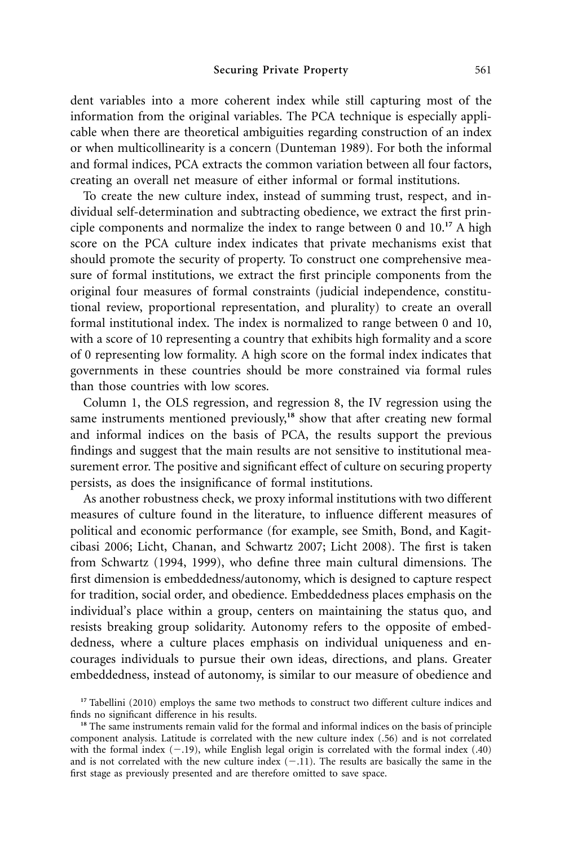dent variables into a more coherent index while still capturing most of the information from the original variables. The PCA technique is especially applicable when there are theoretical ambiguities regarding construction of an index or when multicollinearity is a concern (Dunteman 1989). For both the informal and formal indices, PCA extracts the common variation between all four factors, creating an overall net measure of either informal or formal institutions.

To create the new culture index, instead of summing trust, respect, and individual self-determination and subtracting obedience, we extract the first principle components and normalize the index to range between 0 and 10.**<sup>17</sup>** A high score on the PCA culture index indicates that private mechanisms exist that should promote the security of property. To construct one comprehensive measure of formal institutions, we extract the first principle components from the original four measures of formal constraints (judicial independence, constitutional review, proportional representation, and plurality) to create an overall formal institutional index. The index is normalized to range between 0 and 10, with a score of 10 representing a country that exhibits high formality and a score of 0 representing low formality. A high score on the formal index indicates that governments in these countries should be more constrained via formal rules than those countries with low scores.

Column 1, the OLS regression, and regression 8, the IV regression using the same instruments mentioned previously,<sup>18</sup> show that after creating new formal and informal indices on the basis of PCA, the results support the previous findings and suggest that the main results are not sensitive to institutional measurement error. The positive and significant effect of culture on securing property persists, as does the insignificance of formal institutions.

As another robustness check, we proxy informal institutions with two different measures of culture found in the literature, to influence different measures of political and economic performance (for example, see Smith, Bond, and Kagitcibasi 2006; Licht, Chanan, and Schwartz 2007; Licht 2008). The first is taken from Schwartz (1994, 1999), who define three main cultural dimensions. The first dimension is embeddedness/autonomy, which is designed to capture respect for tradition, social order, and obedience. Embeddedness places emphasis on the individual's place within a group, centers on maintaining the status quo, and resists breaking group solidarity. Autonomy refers to the opposite of embeddedness, where a culture places emphasis on individual uniqueness and encourages individuals to pursue their own ideas, directions, and plans. Greater embeddedness, instead of autonomy, is similar to our measure of obedience and

<sup>&</sup>lt;sup>17</sup> Tabellini (2010) employs the same two methods to construct two different culture indices and finds no significant difference in his results.

<sup>&</sup>lt;sup>18</sup> The same instruments remain valid for the formal and informal indices on the basis of principle component analysis. Latitude is correlated with the new culture index (.56) and is not correlated with the formal index  $(-.19)$ , while English legal origin is correlated with the formal index  $(.40)$ and is not correlated with the new culture index  $(-.11)$ . The results are basically the same in the first stage as previously presented and are therefore omitted to save space.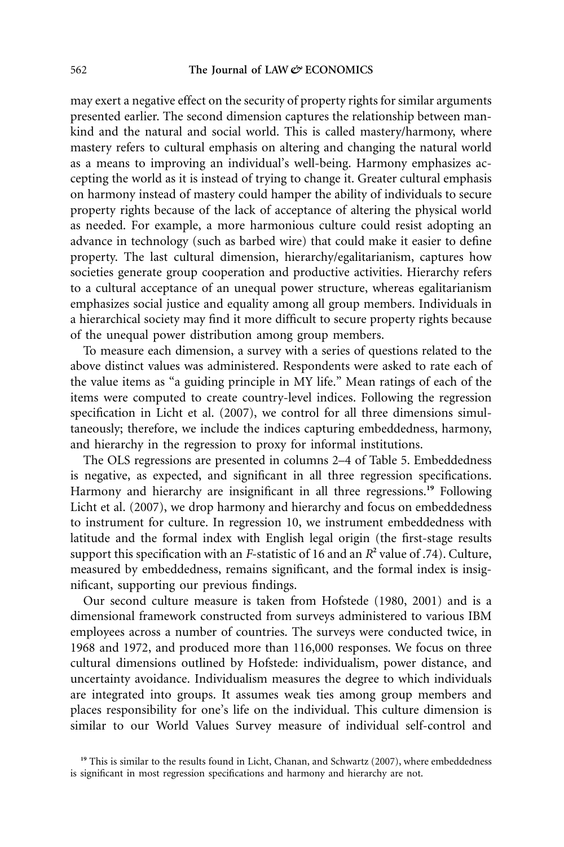may exert a negative effect on the security of property rights for similar arguments presented earlier. The second dimension captures the relationship between mankind and the natural and social world. This is called mastery/harmony, where mastery refers to cultural emphasis on altering and changing the natural world as a means to improving an individual's well-being. Harmony emphasizes accepting the world as it is instead of trying to change it. Greater cultural emphasis on harmony instead of mastery could hamper the ability of individuals to secure property rights because of the lack of acceptance of altering the physical world as needed. For example, a more harmonious culture could resist adopting an advance in technology (such as barbed wire) that could make it easier to define property. The last cultural dimension, hierarchy/egalitarianism, captures how societies generate group cooperation and productive activities. Hierarchy refers to a cultural acceptance of an unequal power structure, whereas egalitarianism emphasizes social justice and equality among all group members. Individuals in a hierarchical society may find it more difficult to secure property rights because of the unequal power distribution among group members.

To measure each dimension, a survey with a series of questions related to the above distinct values was administered. Respondents were asked to rate each of the value items as "a guiding principle in MY life." Mean ratings of each of the items were computed to create country-level indices. Following the regression specification in Licht et al. (2007), we control for all three dimensions simultaneously; therefore, we include the indices capturing embeddedness, harmony, and hierarchy in the regression to proxy for informal institutions.

The OLS regressions are presented in columns 2–4 of Table 5. Embeddedness is negative, as expected, and significant in all three regression specifications. Harmony and hierarchy are insignificant in all three regressions.**<sup>19</sup>** Following Licht et al. (2007), we drop harmony and hierarchy and focus on embeddedness to instrument for culture. In regression 10, we instrument embeddedness with latitude and the formal index with English legal origin (the first-stage results support this specification with an *F*-statistic of 16 and an *R***<sup>2</sup>** value of .74). Culture, measured by embeddedness, remains significant, and the formal index is insignificant, supporting our previous findings.

Our second culture measure is taken from Hofstede (1980, 2001) and is a dimensional framework constructed from surveys administered to various IBM employees across a number of countries. The surveys were conducted twice, in 1968 and 1972, and produced more than 116,000 responses. We focus on three cultural dimensions outlined by Hofstede: individualism, power distance, and uncertainty avoidance. Individualism measures the degree to which individuals are integrated into groups. It assumes weak ties among group members and places responsibility for one's life on the individual. This culture dimension is similar to our World Values Survey measure of individual self-control and

<sup>&</sup>lt;sup>19</sup> This is similar to the results found in Licht, Chanan, and Schwartz (2007), where embeddedness is significant in most regression specifications and harmony and hierarchy are not.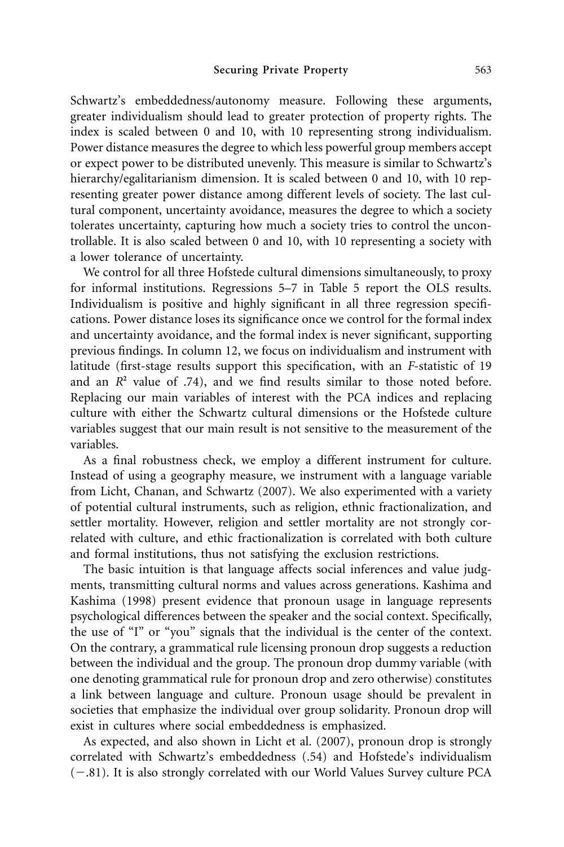Schwartz's embeddedness/autonomy measure. Following these arguments, greater individualism should lead to greater protection of property rights. The index is scaled between 0 and 10, with 10 representing strong individualism. Power distance measures the degree to which less powerful group members accept or expect power to be distributed unevenly. This measure is similar to Schwartz's hierarchy/egalitarianism dimension. It is scaled between 0 and 10, with 10 representing greater power distance among different levels of society. The last cultural component, uncertainty avoidance, measures the degree to which a society tolerates uncertainty, capturing how much a society tries to control the uncontrollable. It is also scaled between 0 and 10, with 10 representing a society with a lower tolerance of uncertainty.

We control for all three Hofstede cultural dimensions simultaneously, to proxy for informal institutions. Regressions 5–7 in Table 5 report the OLS results. Individualism is positive and highly significant in all three regression specifications. Power distance loses its significance once we control for the formal index and uncertainty avoidance, and the formal index is never significant, supporting previous findings. In column 12, we focus on individualism and instrument with latitude (first-stage results support this specification, with an *F*-statistic of 19 and an  $R^2$  value of .74), and we find results similar to those noted before. Replacing our main variables of interest with the PCA indices and replacing culture with either the Schwartz cultural dimensions or the Hofstede culture variables suggest that our main result is not sensitive to the measurement of the variables.

As a final robustness check, we employ a different instrument for culture. Instead of using a geography measure, we instrument with a language variable from Licht, Chanan, and Schwartz (2007). We also experimented with a variety of potential cultural instruments, such as religion, ethnic fractionalization, and settler mortality. However, religion and settler mortality are not strongly correlated with culture, and ethic fractionalization is correlated with both culture and formal institutions, thus not satisfying the exclusion restrictions.

The basic intuition is that language affects social inferences and value judgments, transmitting cultural norms and values across generations. Kashima and Kashima (1998) present evidence that pronoun usage in language represents psychological differences between the speaker and the social context. Specifically, the use of "I" or "you" signals that the individual is the center of the context. On the contrary, a grammatical rule licensing pronoun drop suggests a reduction between the individual and the group. The pronoun drop dummy variable (with one denoting grammatical rule for pronoun drop and zero otherwise) constitutes a link between language and culture. Pronoun usage should be prevalent in societies that emphasize the individual over group solidarity. Pronoun drop will exist in cultures where social embeddedness is emphasized.

As expected, and also shown in Licht et al. (2007), pronoun drop is strongly correlated with Schwartz's embeddedness (.54) and Hofstede's individualism (-.81). It is also strongly correlated with our World Values Survey culture PCA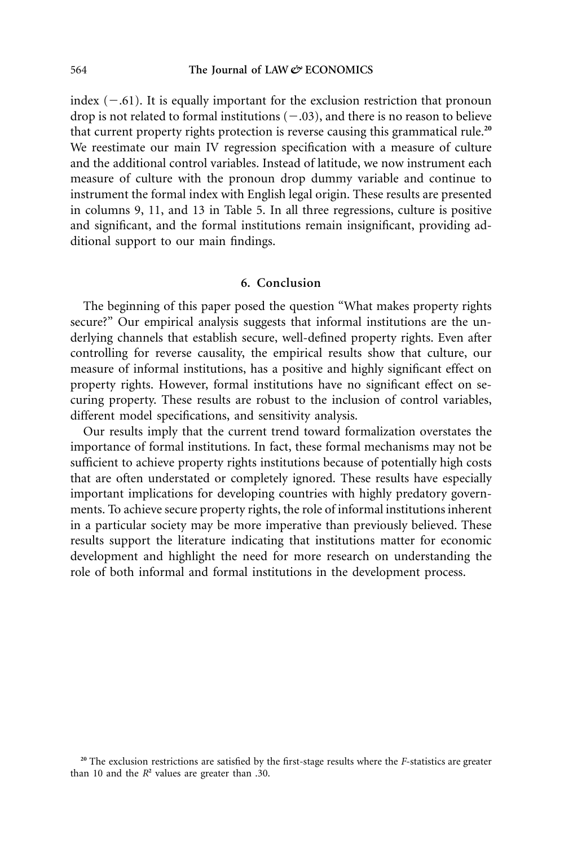index  $(-.61)$ . It is equally important for the exclusion restriction that pronoun drop is not related to formal institutions  $(-.03)$ , and there is no reason to believe that current property rights protection is reverse causing this grammatical rule.**<sup>20</sup>** We reestimate our main IV regression specification with a measure of culture and the additional control variables. Instead of latitude, we now instrument each measure of culture with the pronoun drop dummy variable and continue to instrument the formal index with English legal origin. These results are presented in columns 9, 11, and 13 in Table 5. In all three regressions, culture is positive and significant, and the formal institutions remain insignificant, providing additional support to our main findings.

#### **6. Conclusion**

The beginning of this paper posed the question "What makes property rights secure?" Our empirical analysis suggests that informal institutions are the underlying channels that establish secure, well-defined property rights. Even after controlling for reverse causality, the empirical results show that culture, our measure of informal institutions, has a positive and highly significant effect on property rights. However, formal institutions have no significant effect on securing property. These results are robust to the inclusion of control variables, different model specifications, and sensitivity analysis.

Our results imply that the current trend toward formalization overstates the importance of formal institutions. In fact, these formal mechanisms may not be sufficient to achieve property rights institutions because of potentially high costs that are often understated or completely ignored. These results have especially important implications for developing countries with highly predatory governments. To achieve secure property rights, the role of informal institutions inherent in a particular society may be more imperative than previously believed. These results support the literature indicating that institutions matter for economic development and highlight the need for more research on understanding the role of both informal and formal institutions in the development process.

**<sup>20</sup>** The exclusion restrictions are satisfied by the first-stage results where the *F*-statistics are greater than 10 and the  $R^2$  values are greater than .30.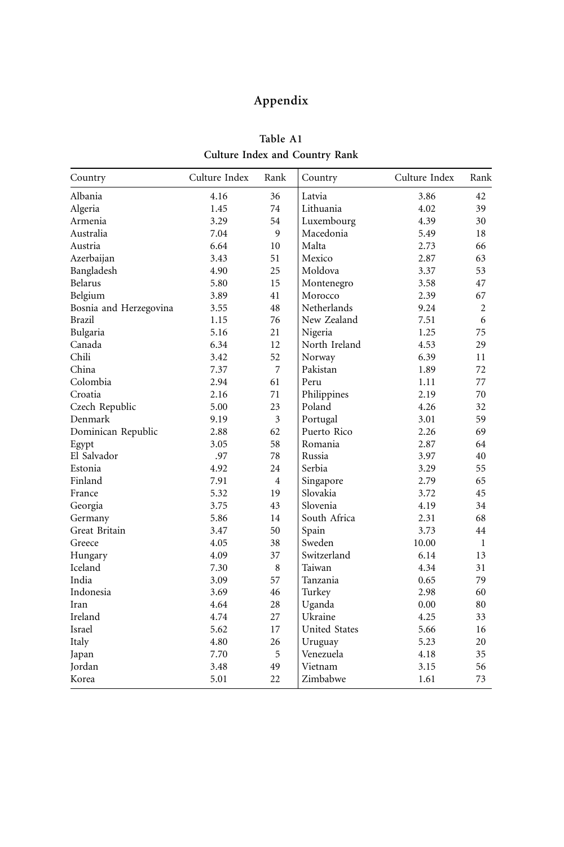# **Appendix**

| Country                | Culture Index | Rank           | Country              | Culture Index | Rank           |
|------------------------|---------------|----------------|----------------------|---------------|----------------|
| Albania                | 4.16          | 36             | Latvia               | 3.86          | 42             |
| Algeria                | 1.45          | 74             | Lithuania            | 4.02          | 39             |
| Armenia                | 3.29          | 54             | Luxembourg           | 4.39          | 30             |
| Australia              | 7.04          | 9              | Macedonia            | 5.49          | 18             |
| Austria                | 6.64          | 10             | Malta                | 2.73          | 66             |
| Azerbaijan             | 3.43          | 51             | Mexico               | 2.87          | 63             |
| Bangladesh             | 4.90          | 25             | Moldova              | 3.37          | 53             |
| Belarus                | 5.80          | 15             | Montenegro           | 3.58          | 47             |
| Belgium                | 3.89          | 41             | Morocco              | 2.39          | 67             |
| Bosnia and Herzegovina | 3.55          | 48             | Netherlands          | 9.24          | $\overline{2}$ |
| Brazil                 | 1.15          | 76             | New Zealand          | 7.51          | 6              |
| Bulgaria               | 5.16          | 21             | Nigeria              | 1.25          | 75             |
| Canada                 | 6.34          | 12             | North Ireland        | 4.53          | 29             |
| Chili                  | 3.42          | 52             | Norway               | 6.39          | 11             |
| China                  | 7.37          | 7              | Pakistan             | 1.89          | 72             |
| Colombia               | 2.94          | 61             | Peru                 | 1.11          | 77             |
| Croatia                | 2.16          | 71             | Philippines          | 2.19          | 70             |
| Czech Republic         | 5.00          | 23             | Poland               | 4.26          | 32             |
| Denmark                | 9.19          | 3              | Portugal             | 3.01          | 59             |
| Dominican Republic     | 2.88          | 62             | Puerto Rico          | 2.26          | 69             |
| Egypt                  | 3.05          | 58             | Romania              | 2.87          | 64             |
| El Salvador            | .97           | 78             | Russia               | 3.97          | 40             |
| Estonia                | 4.92          | 24             | Serbia               | 3.29          | 55             |
| Finland                | 7.91          | $\overline{4}$ | Singapore            | 2.79          | 65             |
| France                 | 5.32          | 19             | Slovakia             | 3.72          | 45             |
| Georgia                | 3.75          | 43             | Slovenia             | 4.19          | 34             |
| Germany                | 5.86          | 14             | South Africa         | 2.31          | 68             |
| Great Britain          | 3.47          | 50             | Spain                | 3.73          | 44             |
| Greece                 | 4.05          | 38             | Sweden               | 10.00         | 1              |
| Hungary                | 4.09          | 37             | Switzerland          | 6.14          | 13             |
| Iceland                | 7.30          | 8              | Taiwan               | 4.34          | 31             |
| India                  | 3.09          | 57             | Tanzania             | 0.65          | 79             |
| Indonesia              | 3.69          | 46             | Turkey               | 2.98          | 60             |
| Iran                   | 4.64          | 28             | Uganda               | 0.00          | 80             |
| Ireland                | 4.74          | 27             | Ukraine              | 4.25          | 33             |
| Israel                 | 5.62          | 17             | <b>United States</b> | 5.66          | 16             |
| Italy                  | 4.80          | 26             | Uruguay              | 5.23          | 20             |
| Japan                  | 7.70          | 5              | Venezuela            | 4.18          | 35             |
| <b>Jordan</b>          | 3.48          | 49             | Vietnam              | 3.15          | 56             |
| Korea                  | 5.01          | 22             | Zimbabwe             | 1.61          | 73             |

**Table A1 Culture Index and Country Rank**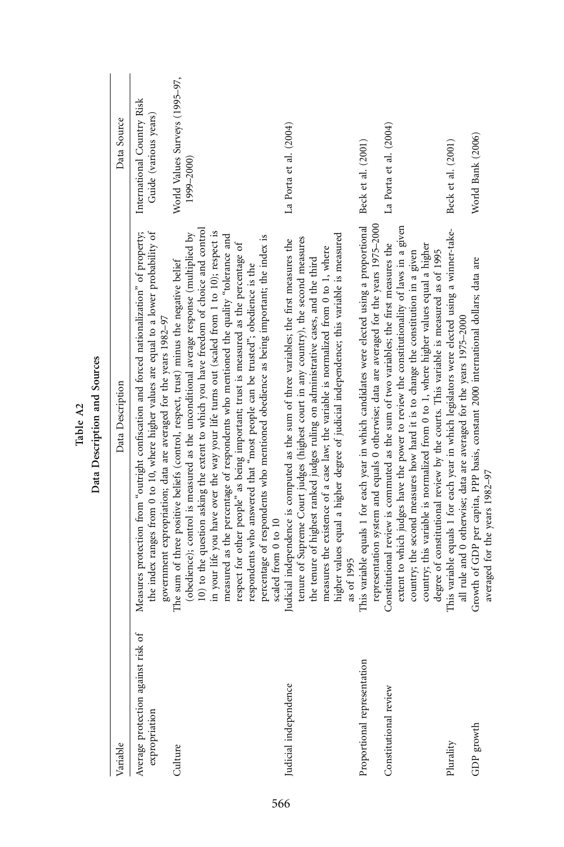|                                                     | ļ                                                                                                                                                                                                                                                                                                                                                                                                                                                                                                                                                                                                                                                                                                                                              |                                                     |
|-----------------------------------------------------|------------------------------------------------------------------------------------------------------------------------------------------------------------------------------------------------------------------------------------------------------------------------------------------------------------------------------------------------------------------------------------------------------------------------------------------------------------------------------------------------------------------------------------------------------------------------------------------------------------------------------------------------------------------------------------------------------------------------------------------------|-----------------------------------------------------|
| Variable                                            | Data Description                                                                                                                                                                                                                                                                                                                                                                                                                                                                                                                                                                                                                                                                                                                               | Data Source                                         |
| Average protection against risk of<br>expropriation | Measures protection from "outright confiscation and forced nationalization" of property;<br>the index ranges from 0 to 10, where higher values are equal to a lower probability of<br>government expropriation; data are averaged for the years 1982-97                                                                                                                                                                                                                                                                                                                                                                                                                                                                                        | International Country Risk<br>Guide (various years) |
| Culture                                             | 10) to the question asking the extent to which you have freedom of choice and control<br>in your life you have over the way your life turns out (scaled from 1 to 10); respect is<br>(obedience); control is measured as the unconditional average response (multiplied by<br>measured as the percentage of respondents who mentioned the quality "tolerance and<br>percentage of respondents who mentioned obedience as being important; the index is<br>respect for other people" as being important; trust is measured as the percentage of<br>The sum of three positive beliefs (control, respect, trust) minus the negative belief<br>respondents who answered that "most people can be trusted"; obedience is the<br>scaled from 0 to 10 | World Values Surveys (1995-97,<br>1999–2000)        |
| Judicial independence                               | higher values equal a higher degree of judicial independence; this variable is measured<br>tenure of Supreme Court judges (highest court in any country), the second measures<br>Judicial independence is computed as the sum of three variables; the first measures the<br>measures the existence of a case law; the variable is normalized from 0 to 1, where<br>the tenure of highest ranked judges ruling on administrative cases, and the third<br>as of 1995                                                                                                                                                                                                                                                                             | La Porta et al. (2004)                              |
| Proportional representation                         | This variable equals 1 for each year in which candidates were elected using a proportional<br>representation system and equals 0 otherwise; data are averaged for the years 1975-2000                                                                                                                                                                                                                                                                                                                                                                                                                                                                                                                                                          | Beck et al. (2001)                                  |
| Constitutional review                               | extent to which judges have the power to review the constitutionality of laws in a given<br>Constitutional review is commuted as the sum of two variables; the first measures the<br>country; this variable is normalized from 0 to 1, where higher values equal a higher<br>degree of constitutional review by the courts. This variable is measured as of 1995<br>country; the second measures how hard it is to change the constitution in a given                                                                                                                                                                                                                                                                                          | La Porta et al. (2004)                              |
| Plurality                                           | This variable equals 1 for each year in which legislators were elected using a winner-take-<br>all rule and 0 otherwise; data are averaged for the years 1975-2000                                                                                                                                                                                                                                                                                                                                                                                                                                                                                                                                                                             | Beck et al. (2001)                                  |
| ${\rm GDP}$ growth                                  | Growth of GDP per capita, PPP basis, constant 2000 international dollars; data are<br>averaged for the years 1982-97                                                                                                                                                                                                                                                                                                                                                                                                                                                                                                                                                                                                                           | World Bank (2006)                                   |

Table A2<br>Data Description and Sources **Data Description and Sources**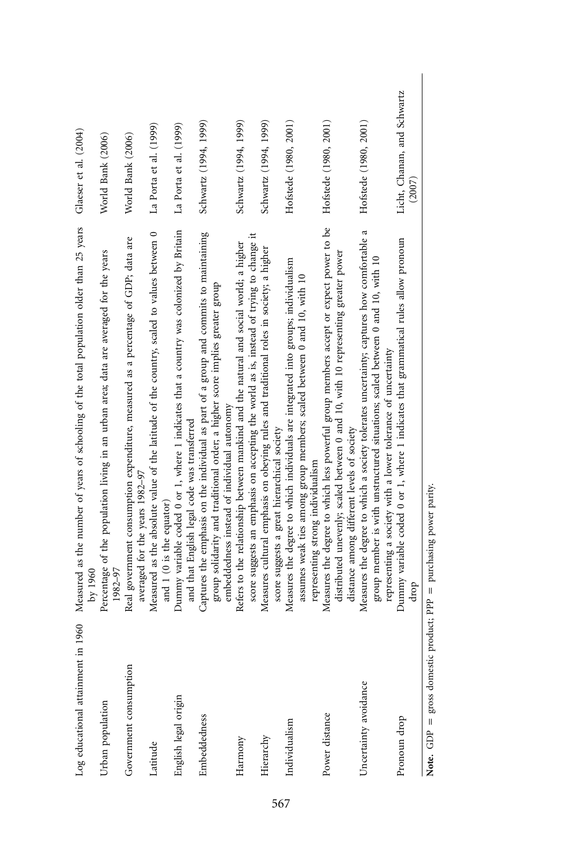| in 1960<br>Log educational attainment | Measured as the number of years of schooling of the total population older than 25 years<br>$\rm{bv}$ 1960                                                                                                                                 | Glaeser et al. (2004)                 |
|---------------------------------------|--------------------------------------------------------------------------------------------------------------------------------------------------------------------------------------------------------------------------------------------|---------------------------------------|
| Urban population                      | Percentage of the population living in an urban area; data are averaged for the years<br>1982-97                                                                                                                                           | World Bank (2006)                     |
| Government consumption                | Real government consumption expenditure, measured as a percentage of GDP; data are<br>averaged for the years 1982-97                                                                                                                       | World Bank (2006)                     |
| Latitude                              | Measured as the absolute value of the latitude of the country, scaled to values between 0<br>and 1 (0 is the equator)                                                                                                                      | La Porta et al. (1999)                |
| English legal origin                  | Dummy variable coded 0 or 1, where 1 indicates that a country was colonized by Britain<br>and that English legal code was transferred                                                                                                      | La Porta et al. (1999)                |
| Embeddedness                          | Captures the emphasis on the individual as part of a group and commits to maintaining<br>group solidarity and traditional order; a higher score implies greater group<br>embeddedness instead of individual autonomy                       | Schwartz (1994, 1999)                 |
| Harmony                               | score suggests an emphasis on accepting the world as is, instead of trying to change it<br>Refers to the relationship between mankind and the natural and social world; a higher                                                           | Schwartz (1994, 1999)                 |
| Hierarchy                             | Measures cultural emphasis on obeying rules and traditional roles in society; a higher<br>score suggests a great hierarchical society                                                                                                      | Schwartz (1994, 1999)                 |
| Individualism                         | Measures the degree to which individuals are integrated into groups; individualism<br>assumes weak ties among group members; scaled between 0 and 10, with 10<br>representing strong individualism                                         | Hofstede (1980, 2001)                 |
| Power distance                        | Measures the degree to which less powerful group members accept or expect power to be<br>distributed unevenly; scaled between 0 and 10, with 10 representing greater power<br>distance among different levels of society                   | Hofstede (1980, 2001)                 |
| Uncertainty avoidance                 | Measures the degree to which a society tolerates uncertainty; captures how comfortable a<br>group member is with unstructured situations; scaled between 0 and 10, with 10<br>representing a society with a lower tolerance of uncertainty | Hofstede (1980, 2001)                 |
| Pronoun drop                          | Dummy variable coded 0 or 1, where 1 indicates that grammatical rules allow pronoun<br>drop                                                                                                                                                | Licht, Chanan, and Schwartz<br>(2007) |
| Note. $GDP =$                         | gross domestic product; PPP = purchasing power parity.                                                                                                                                                                                     |                                       |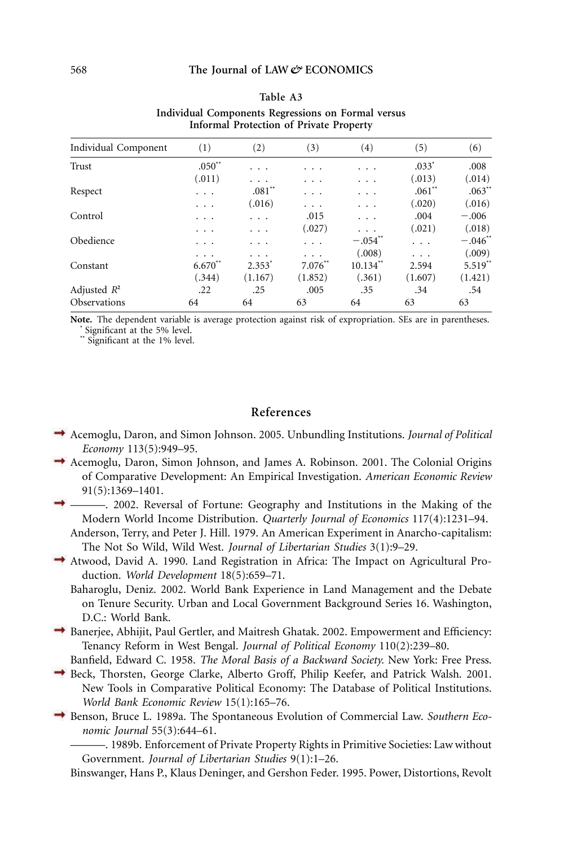| (1)       | (2)      | (3)          | (4)                   | (5)      | (6)                   |
|-----------|----------|--------------|-----------------------|----------|-----------------------|
| $.050**$  | .        |              | .                     | $.033*$  | .008                  |
| (.011)    | .        | .            | .                     | (.013)   | (.014)                |
| .         | $.081**$ | .            | .                     | $.061**$ | $.063**$              |
| .         | (.016)   | .            | .                     | (.020)   | (.016)                |
| .         | .        | .015         | .                     | .004     | $-.006$               |
| .         | .        | (.027)       |                       | (.021)   | (.018)                |
| .         | .        | $\cdots$     | $-.054$ <sup>**</sup> | .        | $-.046$ <sup>**</sup> |
| $\cdot$ . |          | $\cdot$ .    | (.008)                | .        | (.009)                |
| $6.670**$ | $2.353*$ | $7.076^{**}$ | $10.134**$            | 2.594    | $5.519**$             |
| (.344)    | (1.167)  | (1.852)      | (.361)                | (1.607)  | (1.421)               |
| .22       | .25      | .005         | .35                   | .34      | .54                   |
| 64        | 64       | 63           | 64                    | 63       | 63                    |
|           |          |              |                       |          |                       |

#### **Table A3 Individual Components Regressions on Formal versus Informal Protection of Private Property**

**Note.** The dependent variable is average protection against risk of expropriation. SEs are in parentheses. **\*** Significant at the 5% level.

**\*\*** Significant at the 1% level.

# **References**

- Acemoglu, Daron, and Simon Johnson. 2005. Unbundling Institutions. *Journal of Political Economy* 113(5):949–95.
- Acemoglu, Daron, Simon Johnson, and James A. Robinson. 2001. The Colonial Origins of Comparative Development: An Empirical Investigation. *American Economic Review* 91(5):1369–1401.
- ———. 2002. Reversal of Fortune: Geography and Institutions in the Making of the Modern World Income Distribution. *Quarterly Journal of Economics* 117(4):1231–94.
	- Anderson, Terry, and Peter J. Hill. 1979. An American Experiment in Anarcho-capitalism: The Not So Wild, Wild West. *Journal of Libertarian Studies* 3(1):9–29.
- Atwood, David A. 1990. Land Registration in Africa: The Impact on Agricultural Production. *World Development* 18(5):659–71.
	- Baharoglu, Deniz. 2002. World Bank Experience in Land Management and the Debate on Tenure Security. Urban and Local Government Background Series 16. Washington, D.C.: World Bank.
- Banerjee, Abhijit, Paul Gertler, and Maitresh Ghatak. 2002. Empowerment and Efficiency: Tenancy Reform in West Bengal. *Journal of Political Economy* 110(2):239–80.
	- Banfield, Edward C. 1958. *The Moral Basis of a Backward Society.* New York: Free Press.
- Beck, Thorsten, George Clarke, Alberto Groff, Philip Keefer, and Patrick Walsh. 2001. New Tools in Comparative Political Economy: The Database of Political Institutions. *World Bank Economic Review* 15(1):165–76.
- Benson, Bruce L. 1989a. The Spontaneous Evolution of Commercial Law. *Southern Economic Journal* 55(3):644–61.

———. 1989b. Enforcement of Private Property Rights in Primitive Societies: Law without Government. *Journal of Libertarian Studies* 9(1):1–26.

Binswanger, Hans P., Klaus Deninger, and Gershon Feder. 1995. Power, Distortions, Revolt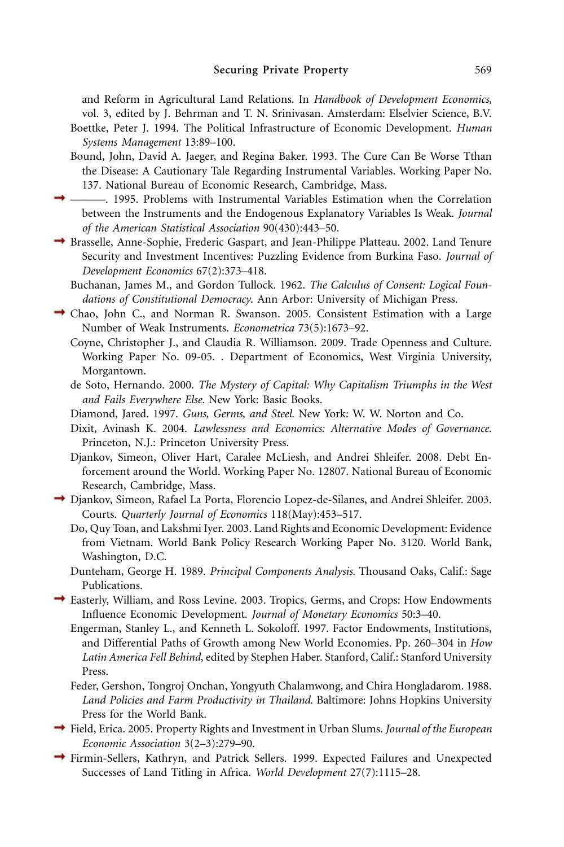and Reform in Agricultural Land Relations. In *Handbook of Development Economics*, vol. 3, edited by J. Behrman and T. N. Srinivasan. Amsterdam: Elselvier Science, B.V.

- Boettke, Peter J. 1994. The Political Infrastructure of Economic Development. *Human Systems Management* 13:89–100.
- Bound, John, David A. Jaeger, and Regina Baker. 1993. The Cure Can Be Worse Tthan the Disease: A Cautionary Tale Regarding Instrumental Variables. Working Paper No. 137. National Bureau of Economic Research, Cambridge, Mass.
- ———. 1995. Problems with Instrumental Variables Estimation when the Correlation between the Instruments and the Endogenous Explanatory Variables Is Weak. *Journal of the American Statistical Association* 90(430):443–50.
- Brasselle, Anne-Sophie, Frederic Gaspart, and Jean-Philippe Platteau. 2002. Land Tenure Security and Investment Incentives: Puzzling Evidence from Burkina Faso. *Journal of Development Economics* 67(2):373–418.
	- Buchanan, James M., and Gordon Tullock. 1962. *The Calculus of Consent: Logical Foundations of Constitutional Democracy*. Ann Arbor: University of Michigan Press.
- Chao, John C., and Norman R. Swanson. 2005. Consistent Estimation with a Large Number of Weak Instruments. *Econometrica* 73(5):1673–92.
	- Coyne, Christopher J., and Claudia R. Williamson. 2009. Trade Openness and Culture. Working Paper No. 09-05. . Department of Economics, West Virginia University, Morgantown.
	- de Soto, Hernando. 2000. *The Mystery of Capital: Why Capitalism Triumphs in the West and Fails Everywhere Else.* New York: Basic Books.
	- Diamond, Jared. 1997. *Guns, Germs, and Steel.* New York: W. W. Norton and Co.
	- Dixit, Avinash K. 2004. *Lawlessness and Economics: Alternative Modes of Governance.* Princeton, N.J.: Princeton University Press.
	- Djankov, Simeon, Oliver Hart, Caralee McLiesh, and Andrei Shleifer. 2008. Debt Enforcement around the World. Working Paper No. 12807. National Bureau of Economic Research, Cambridge, Mass.
- → Djankov, Simeon, Rafael La Porta, Florencio Lopez-de-Silanes, and Andrei Shleifer. 2003. Courts. *Quarterly Journal of Economics* 118(May):453–517.
	- Do, Quy Toan, and Lakshmi Iyer. 2003. Land Rights and Economic Development: Evidence from Vietnam. World Bank Policy Research Working Paper No. 3120. World Bank, Washington, D.C.
	- Dunteham, George H. 1989. *Principal Components Analysis.* Thousand Oaks, Calif.: Sage Publications.
- $\rightarrow$  Easterly, William, and Ross Levine. 2003. Tropics, Germs, and Crops: How Endowments Influence Economic Development. *Journal of Monetary Economics* 50:3–40.
	- Engerman, Stanley L., and Kenneth L. Sokoloff. 1997. Factor Endowments, Institutions, and Differential Paths of Growth among New World Economies. Pp. 260–304 in *How Latin America Fell Behind*, edited by Stephen Haber. Stanford, Calif.: Stanford University Press.
	- Feder, Gershon, Tongroj Onchan, Yongyuth Chalamwong, and Chira Hongladarom. 1988. *Land Policies and Farm Productivity in Thailand.* Baltimore: Johns Hopkins University Press for the World Bank.
- Field, Erica. 2005. Property Rights and Investment in Urban Slums. *Journal of the European Economic Association* 3(2–3):279–90.
- Firmin-Sellers, Kathryn, and Patrick Sellers. 1999. Expected Failures and Unexpected Successes of Land Titling in Africa. *World Development* 27(7):1115–28.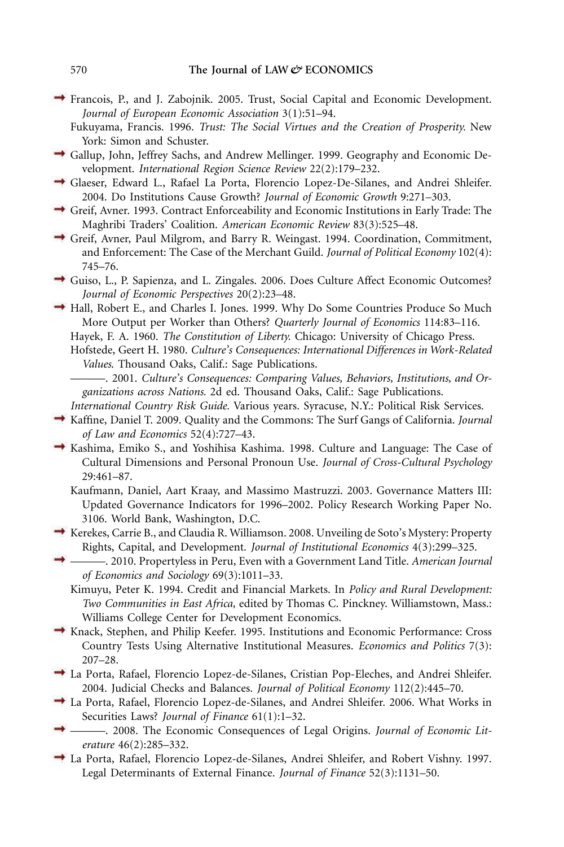Francois, P., and J. Zabojnik. 2005. Trust, Social Capital and Economic Development. *Journal of European Economic Association* 3(1):51–94.

Fukuyama, Francis. 1996. *Trust: The Social Virtues and the Creation of Prosperity.* New York: Simon and Schuster.

- Gallup, John, Jeffrey Sachs, and Andrew Mellinger. 1999. Geography and Economic Development. *International Region Science Review* 22(2):179–232.
- Glaeser, Edward L., Rafael La Porta, Florencio Lopez-De-Silanes, and Andrei Shleifer. 2004. Do Institutions Cause Growth? *Journal of Economic Growth* 9:271–303.
- Greif, Avner. 1993. Contract Enforceability and Economic Institutions in Early Trade: The Maghribi Traders' Coalition. *American Economic Review* 83(3):525–48.
- Greif, Avner, Paul Milgrom, and Barry R. Weingast. 1994. Coordination, Commitment, and Enforcement: The Case of the Merchant Guild. *Journal of Political Economy* 102(4): 745–76.
- Guiso, L., P. Sapienza, and L. Zingales. 2006. Does Culture Affect Economic Outcomes? *Journal of Economic Perspectives* 20(2):23–48.
- Hall, Robert E., and Charles I. Jones. 1999. Why Do Some Countries Produce So Much More Output per Worker than Others? *Quarterly Journal of Economics* 114:83–116.

Hayek, F. A. 1960. *The Constitution of Liberty.* Chicago: University of Chicago Press.

Hofstede, Geert H. 1980. *Culture's Consequences: International Differences in Work-Related Values*. Thousand Oaks, Calif.: Sage Publications.

———. 2001. *Culture's Consequences: Comparing Values, Behaviors, Institutions, and Organizations across Nations.* 2d ed. Thousand Oaks, Calif.: Sage Publications.

- *International Country Risk Guide.* Various years. Syracuse, N.Y.: Political Risk Services.
- Kaffine, Daniel T. 2009. Quality and the Commons: The Surf Gangs of California. *Journal of Law and Economics* 52(4):727–43.
- $\rightarrow$  Kashima, Emiko S., and Yoshihisa Kashima. 1998. Culture and Language: The Case of Cultural Dimensions and Personal Pronoun Use. *Journal of Cross-Cultural Psychology* 29:461–87.
	- Kaufmann, Daniel, Aart Kraay, and Massimo Mastruzzi. 2003. Governance Matters III: Updated Governance Indicators for 1996–2002. Policy Research Working Paper No. 3106. World Bank, Washington, D.C.
- $\rightarrow$  Kerekes, Carrie B., and Claudia R. Williamson. 2008. Unveiling de Soto's Mystery: Property Rights, Capital, and Development. *Journal of Institutional Economics* 4(3):299–325.
	- ———. 2010. Propertyless in Peru, Even with a Government Land Title. *American Journal of Economics and Sociology* 69(3):1011–33.
		- Kimuyu, Peter K. 1994. Credit and Financial Markets. In *Policy and Rural Development: Two Communities in East Africa,* edited by Thomas C. Pinckney. Williamstown, Mass.: Williams College Center for Development Economics.
- Knack, Stephen, and Philip Keefer. 1995. Institutions and Economic Performance: Cross Country Tests Using Alternative Institutional Measures. *Economics and Politics* 7(3): 207–28.
- La Porta, Rafael, Florencio Lopez-de-Silanes, Cristian Pop-Eleches, and Andrei Shleifer. 2004. Judicial Checks and Balances. *Journal of Political Economy* 112(2):445–70.
- La Porta, Rafael, Florencio Lopez-de-Silanes, and Andrei Shleifer. 2006. What Works in Securities Laws? *Journal of Finance* 61(1):1–32.
- ———. 2008. The Economic Consequences of Legal Origins. *Journal of Economic Literature* 46(2):285–332.
- La Porta, Rafael, Florencio Lopez-de-Silanes, Andrei Shleifer, and Robert Vishny. 1997. Legal Determinants of External Finance. *Journal of Finance* 52(3):1131–50.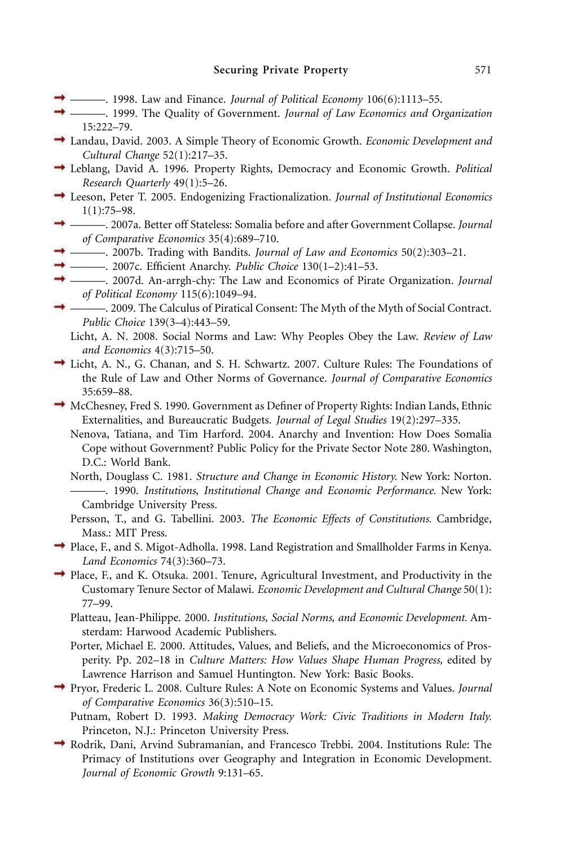- $\rightarrow$  ———. 1998. Law and Finance. *Journal of Political Economy* 106(6):1113–55.
- ———. 1999. The Quality of Government. *Journal of Law Economics and Organization* 15:222–79.
- Landau, David. 2003. A Simple Theory of Economic Growth. *Economic Development and Cultural Change* 52(1):217–35.
- Leblang, David A. 1996. Property Rights, Democracy and Economic Growth. *Political Research Quarterly* 49(1):5–26.
- Leeson, Peter T. 2005. Endogenizing Fractionalization. *Journal of Institutional Economics* 1(1):75–98.
- ———. 2007a. Better off Stateless: Somalia before and after Government Collapse. *Journal of Comparative Economics* 35(4):689–710.
- ———. 2007b. Trading with Bandits. *Journal of Law and Economics* 50(2):303–21.
- → ———. 2007c. Efficient Anarchy. *Public Choice* 130(1-2):41-53.
- ———. 2007d. An-arrgh-chy: The Law and Economics of Pirate Organization. *Journal of Political Economy* 115(6):1049–94.
- ———. 2009. The Calculus of Piratical Consent: The Myth of the Myth of Social Contract. *Public Choice* 139(3–4):443–59.
	- Licht, A. N. 2008. Social Norms and Law: Why Peoples Obey the Law. *Review of Law and Economics* 4(3):715–50.
- Licht, A. N., G. Chanan, and S. H. Schwartz. 2007. Culture Rules: The Foundations of the Rule of Law and Other Norms of Governance. *Journal of Comparative Economics* 35:659–88.
- McChesney, Fred S. 1990. Government as Definer of Property Rights: Indian Lands, Ethnic Externalities, and Bureaucratic Budgets. *Journal of Legal Studies* 19(2):297–335.
	- Nenova, Tatiana, and Tim Harford. 2004. Anarchy and Invention: How Does Somalia Cope without Government? Public Policy for the Private Sector Note 280. Washington, D.C.: World Bank.
	- North, Douglass C. 1981. *Structure and Change in Economic History.* New York: Norton. ———. 1990. *Institutions, Institutional Change and Economic Performance.* New York: Cambridge University Press.
	- Persson, T., and G. Tabellini. 2003. *The Economic Effects of Constitutions.* Cambridge, Mass.: MIT Press.
- Place, F., and S. Migot-Adholla. 1998. Land Registration and Smallholder Farms in Kenya. *Land Economics* 74(3):360–73.
- Place, F., and K. Otsuka. 2001. Tenure, Agricultural Investment, and Productivity in the Customary Tenure Sector of Malawi. *Economic Development and Cultural Change* 50(1): 77–99.
	- Platteau, Jean-Philippe. 2000. *Institutions, Social Norms, and Economic Development.* Amsterdam: Harwood Academic Publishers.
	- Porter, Michael E. 2000. Attitudes, Values, and Beliefs, and the Microeconomics of Prosperity. Pp. 202–18 in *Culture Matters: How Values Shape Human Progress,* edited by Lawrence Harrison and Samuel Huntington. New York: Basic Books.
- Pryor, Frederic L. 2008. Culture Rules: A Note on Economic Systems and Values. *Journal of Comparative Economics* 36(3):510–15.
	- Putnam, Robert D. 1993. *Making Democracy Work: Civic Traditions in Modern Italy.* Princeton, N.J.: Princeton University Press.
- $\rightarrow$  Rodrik, Dani, Arvind Subramanian, and Francesco Trebbi. 2004. Institutions Rule: The Primacy of Institutions over Geography and Integration in Economic Development. *Journal of Economic Growth* 9:131–65.